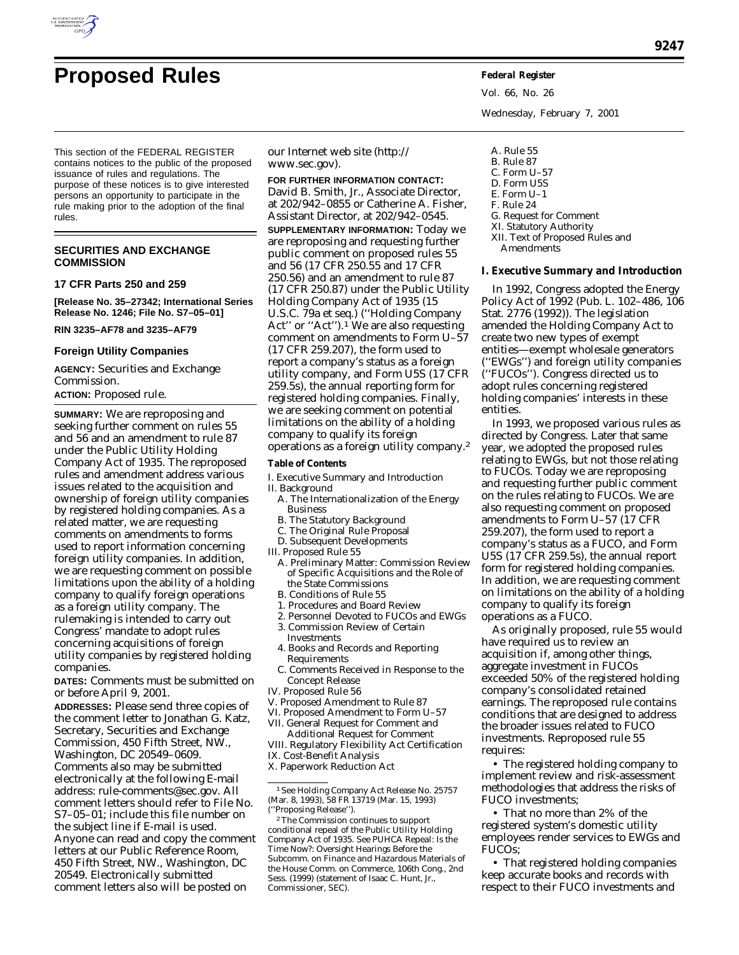

# **Proposed Rules Federal Register**

This section of the FEDERAL REGISTER contains notices to the public of the proposed issuance of rules and regulations. The purpose of these notices is to give interested persons an opportunity to participate in the rule making prior to the adoption of the final rules.

# **SECURITIES AND EXCHANGE COMMISSION**

# **17 CFR Parts 250 and 259**

**[Release No. 35–27342; International Series Release No. 1246; File No. S7–05–01]**

**RIN 3235–AF78 and 3235–AF79**

#### **Foreign Utility Companies**

**AGENCY:** Securities and Exchange Commission.

# **ACTION:** Proposed rule.

**SUMMARY:** We are reproposing and seeking further comment on rules 55 and 56 and an amendment to rule 87 under the Public Utility Holding Company Act of 1935. The reproposed rules and amendment address various issues related to the acquisition and ownership of foreign utility companies by registered holding companies. As a related matter, we are requesting comments on amendments to forms used to report information concerning foreign utility companies. In addition, we are requesting comment on possible limitations upon the ability of a holding company to qualify foreign operations as a foreign utility company. The rulemaking is intended to carry out Congress' mandate to adopt rules concerning acquisitions of foreign utility companies by registered holding companies.

**DATES:** Comments must be submitted on or before April 9, 2001.

**ADDRESSES:** Please send three copies of the comment letter to Jonathan G. Katz, Secretary, Securities and Exchange Commission, 450 Fifth Street, NW., Washington, DC 20549–0609. Comments also may be submitted electronically at the following E-mail address: rule-comments@sec.gov. All comment letters should refer to File No. S7–05–01; include this file number on the subject line if E-mail is used. Anyone can read and copy the comment letters at our Public Reference Room, 450 Fifth Street, NW., Washington, DC 20549. Electronically submitted comment letters also will be posted on

our Internet web site (http:// www.sec.gov).

**FOR FURTHER INFORMATION CONTACT:** David B. Smith, Jr., Associate Director, at 202/942–0855 or Catherine A. Fisher, Assistant Director, at 202/942–0545. **SUPPLEMENTARY INFORMATION:** Today we are reproposing and requesting further public comment on proposed rules 55 and 56 (17 CFR 250.55 and 17 CFR 250.56) and an amendment to rule 87 (17 CFR 250.87) under the Public Utility Holding Company Act of 1935 (15 U.S.C. 79a *et seq.*) (''Holding Company Act'' or "Act").<sup>1</sup> We are also requesting comment on amendments to Form U–57 (17 CFR 259.207), the form used to report a company's status as a foreign utility company, and Form U5S (17 CFR 259.5s), the annual reporting form for registered holding companies. Finally, we are seeking comment on potential limitations on the ability of a holding company to qualify its foreign operations as a foreign utility company.2

#### **Table of Contents**

- I. Executive Summary and Introduction
- II. Background
	- A. The Internationalization of the Energy Business
	- B. The Statutory Background
	- C. The Original Rule Proposal
	- D. Subsequent Developments
- III. Proposed Rule 55
- A. Preliminary Matter: Commission Review of Specific Acquisitions and the Role of the State Commissions
- B. Conditions of Rule 55
- 1. Procedures and Board Review
- 2. Personnel Devoted to FUCOs and EWGs 3. Commission Review of Certain
- Investments
- 4. Books and Records and Reporting Requirements
- C. Comments Received in Response to the Concept Release
- IV. Proposed Rule 56
- V. Proposed Amendment to Rule 87
- VI. Proposed Amendment to Form U–57 VII. General Request for Comment and
- Additional Request for Comment

VIII. Regulatory Flexibility Act Certification IX. Cost-Benefit Analysis X. Paperwork Reduction Act

1*See* Holding Company Act Release No. 25757 (Mar. 8, 1993), 58 FR 13719 (Mar. 15, 1993) (''Proposing Release'').

Vol. 66, No. 26 Wednesday, February 7, 2001

- A. Rule 55 B. Rule 87 C. Form U–57 D. Form U5S E. Form U–1 F. Rule 24 G. Request for Comment XI. Statutory Authority XII. Text of Proposed Rules and
- Amendments

#### **I. Executive Summary and Introduction**

In 1992, Congress adopted the Energy Policy Act of 1992 (Pub. L. 102–486, 106 Stat. 2776 (1992)). The legislation amended the Holding Company Act to create two new types of exempt entities—exempt wholesale generators (''EWGs'') and foreign utility companies (''FUCOs''). Congress directed us to adopt rules concerning registered holding companies' interests in these entities.

In 1993, we proposed various rules as directed by Congress. Later that same year, we adopted the proposed rules relating to EWGs, but not those relating to FUCOs. Today we are reproposing and requesting further public comment on the rules relating to FUCOs. We are also requesting comment on proposed amendments to Form U–57 (17 CFR 259.207), the form used to report a company's status as a FUCO, and Form U5S (17 CFR 259.5s), the annual report form for registered holding companies. In addition, we are requesting comment on limitations on the ability of a holding company to qualify its foreign operations as a FUCO.

As originally proposed, rule 55 would have required us to review an acquisition if, among other things, aggregate investment in FUCOs exceeded 50% of the registered holding company's consolidated retained earnings. The reproposed rule contains conditions that are designed to address the broader issues related to FUCO investments. Reproposed rule 55 requires:

• The registered holding company to implement review and risk-assessment methodologies that address the risks of FUCO investments;

• That no more than 2% of the registered system's domestic utility employees render services to EWGs and FUCOs;

• That registered holding companies keep accurate books and records with respect to their FUCO investments and

<sup>2</sup>The Commission continues to support conditional repeal of the Public Utility Holding Company Act of 1935. *See PUHCA Repeal: Is the Time Now?: Oversight Hearings Before the Subcomm. on Finance and Hazardous Materials of the House Comm. on Commerce,* 106th Cong., 2nd Sess. (1999) (statement of Isaac C. Hunt, Jr., Commissioner, SEC).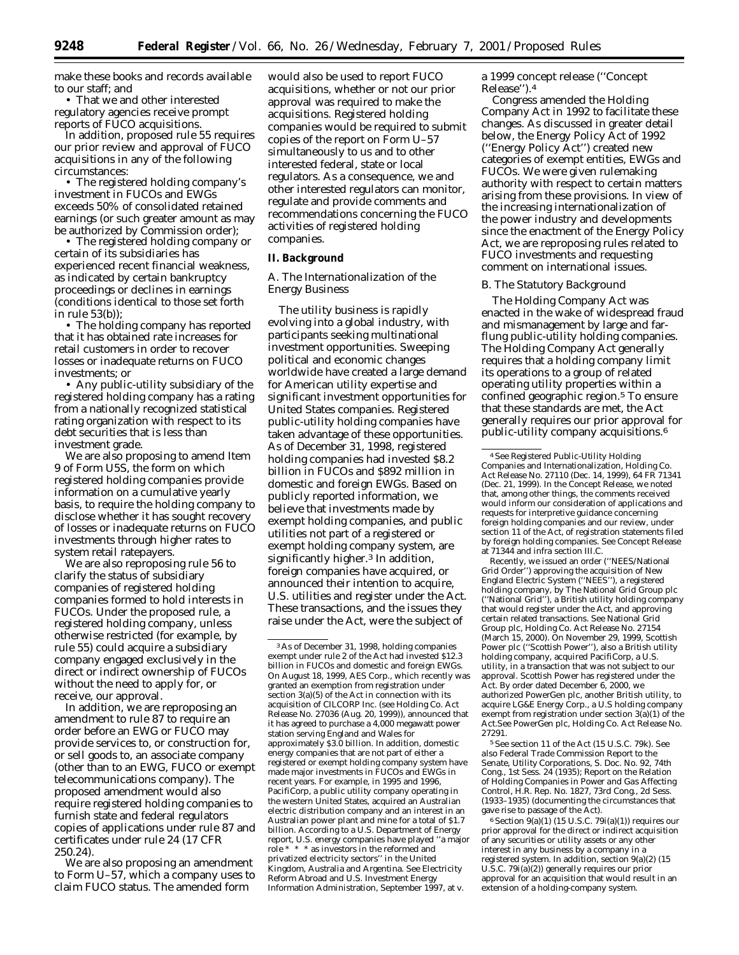make these books and records available to our staff; and

• That we and other interested regulatory agencies receive prompt reports of FUCO acquisitions.

In addition, proposed rule 55 requires our prior review and approval of FUCO acquisitions in any of the following circumstances:

• The registered holding company's investment in FUCOs and EWGs exceeds 50% of consolidated retained earnings (or such greater amount as may be authorized by Commission order);

• The registered holding company or certain of its subsidiaries has experienced recent financial weakness, as indicated by certain bankruptcy proceedings or declines in earnings (conditions identical to those set forth in rule 53(b));

• The holding company has reported that it has obtained rate increases for retail customers in order to recover losses or inadequate returns on FUCO investments; or

• Any public-utility subsidiary of the registered holding company has a rating from a nationally recognized statistical rating organization with respect to its debt securities that is less than investment grade.

We are also proposing to amend Item 9 of Form U5S, the form on which registered holding companies provide information on a cumulative yearly basis, to require the holding company to disclose whether it has sought recovery of losses or inadequate returns on FUCO investments through higher rates to system retail ratepayers.

We are also reproposing rule 56 to clarify the status of subsidiary companies of registered holding companies formed to hold interests in FUCOs. Under the proposed rule, a registered holding company, unless otherwise restricted (for example, by rule 55) could acquire a subsidiary company engaged exclusively in the direct or indirect ownership of FUCOs without the need to apply for, or receive, our approval.

In addition, we are reproposing an amendment to rule 87 to require an order before an EWG or FUCO may provide services to, or construction for, or sell goods to, an associate company (other than to an EWG, FUCO or exempt telecommunications company). The proposed amendment would also require registered holding companies to furnish state and federal regulators copies of applications under rule 87 and certificates under rule 24 (17 CFR 250.24).

We are also proposing an amendment to Form U–57, which a company uses to claim FUCO status. The amended form

would also be used to report FUCO acquisitions, whether or not our prior approval was required to make the acquisitions. Registered holding companies would be required to submit copies of the report on Form U–57 simultaneously to us and to other interested federal, state or local regulators. As a consequence, we and other interested regulators can monitor, regulate and provide comments and recommendations concerning the FUCO activities of registered holding companies.

# **II. Background**

# *A. The Internationalization of the Energy Business*

The utility business is rapidly evolving into a global industry, with participants seeking multinational investment opportunities. Sweeping political and economic changes worldwide have created a large demand for American utility expertise and significant investment opportunities for United States companies. Registered public-utility holding companies have taken advantage of these opportunities. As of December 31, 1998, registered holding companies had invested \$8.2 billion in FUCOs and \$892 million in domestic and foreign EWGs. Based on publicly reported information, we believe that investments made by exempt holding companies, and public utilities not part of a registered or exempt holding company system, are significantly higher.3 In addition, foreign companies have acquired, or announced their intention to acquire, U.S. utilities and register under the Act. These transactions, and the issues they raise under the Act, were the subject of

a 1999 concept release (''Concept Release'').4

Congress amended the Holding Company Act in 1992 to facilitate these changes. As discussed in greater detail below, the Energy Policy Act of 1992 (''Energy Policy Act'') created new categories of exempt entities, EWGs and FUCOs. We were given rulemaking authority with respect to certain matters arising from these provisions. In view of the increasing internationalization of the power industry and developments since the enactment of the Energy Policy Act, we are reproposing rules related to FUCO investments and requesting comment on international issues.

#### *B. The Statutory Background*

The Holding Company Act was enacted in the wake of widespread fraud and mismanagement by large and farflung public-utility holding companies. The Holding Company Act generally requires that a holding company limit its operations to a group of related operating utility properties within a confined geographic region.5 To ensure that these standards are met, the Act generally requires our prior approval for public-utility company acquisitions.6

Recently, we issued an order (''NEES/National Grid Order'') approving the acquisition of New England Electric System (''NEES''), a registered holding company, by The National Grid Group plc (''National Grid''), a British utility holding company that would register under the Act, and approving certain related transactions. *See* National Grid Group plc, Holding Co. Act Release No. 27154 (March 15, 2000). On November 29, 1999, Scottish Power plc (''Scottish Power''), also a British utility holding company, acquired PacifiCorp, a U.S. utility, in a transaction that was not subject to our approval. Scottish Power has registered under the Act. By order dated December 6, 2000, we authorized PowerGen plc, another British utility, to acquire LG&E Energy Corp., a U.S holding company exempt from registration under section 3(a)(1) of the Act.*See* PowerGen plc, Holding Co. Act Release No. 27291.

5*See* section 11 of the Act (15 U.S.C. 79k). *See also Federal Trade Commission Report to the Senate, Utility Corporations*, S. Doc. No. 92, 74th Cong., 1st Sess. 24 (1935); *Report on the Relation of Holding Companies in Power and Gas Affecting Control*, H.R. Rep. No. 1827, 73rd Cong., 2d Sess. (1933–1935) (documenting the circumstances that gave rise to passage of the Act).

 $6$  Section  $9(a)(1)$  (15 U.S.C. 79i(a)(1)) requires our prior approval for the direct or indirect acquisition of any securities or utility assets or any other interest in any business by a company in a registered system. In addition, section 9(a)(2) (15 U.S.C. 79i(a)(2)) generally requires our prior approval for an acquisition that would result in an extension of a holding-company system.

<sup>3</sup>As of December 31, 1998, holding companies exempt under rule 2 of the Act had invested \$12.3 billion in FUCOs and domestic and foreign EWGs. On August 18, 1999, AES Corp., which recently was granted an exemption from registration under section 3(a)(5) of the Act in connection with its acquisition of CILCORP Inc. (*see* Holding Co. Act Release No. 27036 (Aug. 20, 1999)), announced that it has agreed to purchase a 4,000 megawatt power station serving England and Wales for approximately \$3.0 billion. In addition, domestic energy companies that are not part of either a registered or exempt holding company system have made major investments in FUCOs and EWGs in recent years. For example, in 1995 and 1996, PacifiCorp, a public utility company operating in the western United States, acquired an Australian electric distribution company and an interest in an Australian power plant and mine for a total of \$1.7 billion. According to a U.S. Department of Energy report, U.S. energy companies have played ''a major role \* \* \* as investors in the reformed and privatized electricity sectors'' in the United Kingdom, Australia and Argentina. *See* Electricity Reform Abroad and U.S. Investment Energy Information Administration, September 1997, at v.

<sup>4</sup>*See* Registered Public-Utility Holding Companies and Internationalization, Holding Co. Act Release No. 27110 (Dec. 14, 1999), 64 FR 71341 (Dec. 21, 1999). In the Concept Release, we noted that, among other things, the comments received would inform our consideration of applications and requests for interpretive guidance concerning foreign holding companies and our review, under section 11 of the Act, of registration statements filed by foreign holding companies. *See* Concept Release at 71344 and *infra* section III.C.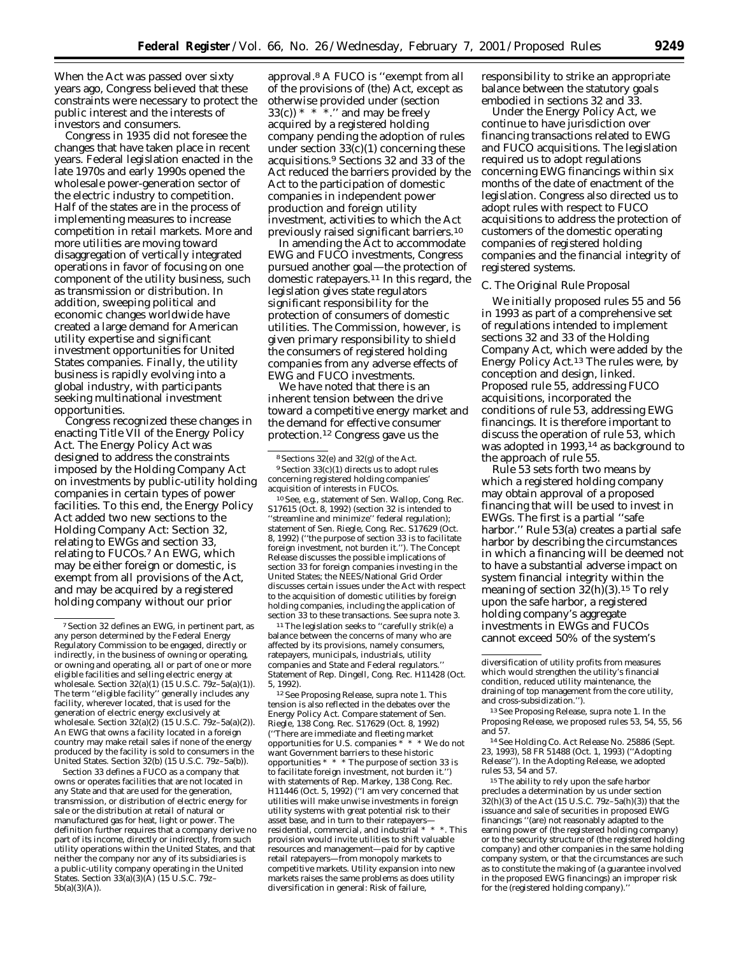When the Act was passed over sixty years ago, Congress believed that these constraints were necessary to protect the public interest and the interests of investors and consumers.

Congress in 1935 did not foresee the changes that have taken place in recent years. Federal legislation enacted in the late 1970s and early 1990s opened the wholesale power-generation sector of the electric industry to competition. Half of the states are in the process of implementing measures to increase competition in retail markets. More and more utilities are moving toward disaggregation of vertically integrated operations in favor of focusing on one component of the utility business, such as transmission or distribution. In addition, sweeping political and economic changes worldwide have created a large demand for American utility expertise and significant investment opportunities for United States companies. Finally, the utility business is rapidly evolving into a global industry, with participants seeking multinational investment opportunities.

Congress recognized these changes in enacting Title VII of the Energy Policy Act. The Energy Policy Act was designed to address the constraints imposed by the Holding Company Act on investments by public-utility holding companies in certain types of power facilities. To this end, the Energy Policy Act added two new sections to the Holding Company Act: Section 32, relating to EWGs and section 33, relating to FUCOs.7 An EWG, which may be either foreign or domestic, is exempt from all provisions of the Act, and may be acquired by a registered holding company without our prior

Section 33 defines a FUCO as a company that owns or operates facilities that are not located in any State and that are used for the generation, transmission, or distribution of electric energy for sale or the distribution at retail of natural or manufactured gas for heat, light or power. The definition further requires that a company derive no part of its income, directly or indirectly, from such utility operations within the United States, and that neither the company nor any of its subsidiaries is a public-utility company operating in the United States. Section 33(a)(3)(A) (15 U.S.C. 79z– 5b(a)(3)(A)).

approval.8 A FUCO is ''exempt from all of the provisions of (the) Act, except as otherwise provided under (section  $33(c)$  \* \* \*.'' and may be freely acquired by a registered holding company pending the adoption of rules under section  $33(c)(1)$  concerning these acquisitions.9 Sections 32 and 33 of the Act reduced the barriers provided by the Act to the participation of domestic companies in independent power production and foreign utility investment, activities to which the Act previously raised significant barriers.10

In amending the Act to accommodate EWG and FUCO investments, Congress pursued another goal—the protection of domestic ratepayers.11 In this regard, the legislation gives state regulators significant responsibility for the protection of consumers of domestic utilities. The Commission, however, is given primary responsibility to shield the consumers of registered holding companies from any adverse effects of EWG and FUCO investments.

We have noted that there is an inherent tension between the drive toward a competitive energy market and the demand for effective consumer protection.12 Congress gave us the

10*See, e.g.*, statement of Sen. Wallop, Cong. Rec. S17615 (Oct. 8, 1992) (section 32 is intended to 'streamline and minimize'' federal regulation); statement of Sen. Riegle, Cong. Rec. S17629 (Oct. 8, 1992) (''the purpose of section 33 is to facilitate foreign investment, not burden it.''). The Concept Release discusses the possible implications of section 33 for foreign companies investing in the United States; the NEES/National Grid Order discusses certain issues under the Act with respect to the acquisition of domestic utilities by foreign holding companies, including the application of section 33 to these transactions. *See supra* note 3.

<sup>11</sup>The legislation seeks to "carefully strik(e) a balance between the concerns of many who are affected by its provisions, namely consumers, ratepayers, municipals, industrials, utility companies and State and Federal regulators.'' Statement of Rep. Dingell, Cong. Rec. H11428 (Oct. 5, 1992).

12*See* Proposing Release, *supra* note 1. This tension is also reflected in the debates over the Energy Policy Act. *Compare* statement of Sen. Riegle, 138 Cong. Rec. S17629 (Oct. 8, 1992) (''There are immediate and fleeting market opportunities for U.S. companies \* \* \* We do not want Government barriers to these historic opportunities \* \* \* The purpose of section 33 is to facilitate foreign investment, not burden it.'') with statements of Rep. Markey, 138 Cong. Rec. H11446 (Oct. 5, 1992) (''I am very concerned that utilities will make unwise investments in foreign utility systems with great potential risk to their asset base, and in turn to their ratepayers residential, commercial, and industrial \* \* \*. This provision would invite utilities to shift valuable resources and management—paid for by captive retail ratepayers—from monopoly markets to competitive markets. Utility expansion into new markets raises the same problems as does utility diversification in general: Risk of failure,

responsibility to strike an appropriate balance between the statutory goals embodied in sections 32 and 33.

Under the Energy Policy Act, we continue to have jurisdiction over financing transactions related to EWG and FUCO acquisitions. The legislation required us to adopt regulations concerning EWG financings within six months of the date of enactment of the legislation. Congress also directed us to adopt rules with respect to FUCO acquisitions to address the protection of customers of the domestic operating companies of registered holding companies and the financial integrity of registered systems.

#### *C. The Original Rule Proposal*

We initially proposed rules 55 and 56 in 1993 as part of a comprehensive set of regulations intended to implement sections 32 and 33 of the Holding Company Act, which were added by the Energy Policy Act.13 The rules were, by conception and design, linked. Proposed rule 55, addressing FUCO acquisitions, incorporated the conditions of rule 53, addressing EWG financings. It is therefore important to discuss the operation of rule 53, which was adopted in 1993,14 as background to the approach of rule 55.

Rule 53 sets forth two means by which a registered holding company may obtain approval of a proposed financing that will be used to invest in EWGs. The first is a partial ''safe harbor.'' Rule 53(a) creates a partial safe harbor by describing the circumstances in which a financing will be deemed not to have a substantial adverse impact on system financial integrity within the meaning of section 32(h)(3).15 To rely upon the safe harbor, a registered holding company's aggregate investments in EWGs and FUCOs cannot exceed 50% of the system's

14*See* Holding Co. Act Release No. 25886 (Sept. 23, 1993), 58 FR 51488 (Oct. 1, 1993) (''Adopting Release''). In the Adopting Release, we adopted rules 53, 54 and 57.

<sup>15</sup> The ability to rely upon the safe harbor precludes a determination by us under section  $32(h)(3)$  of the Act (15 U.S.C. 79z–5a(h)(3)) that the issuance and sale of securities in proposed EWG financings ''(are) not reasonably adapted to the earning power of (the registered holding company) or to the security structure of (the registered holding company) and other companies in the same holding company system, or that the circumstances are such as to constitute the making of (a guarantee involved in the proposed EWG financings) an improper risk for the (registered holding company).'

<sup>7</sup>Section 32 defines an EWG, in pertinent part, as any person determined by the Federal Energy Regulatory Commission to be engaged, directly or indirectly, in the business of owning or operating, or owning and operating, all or part of one or more eligible facilities and selling electric energy at wholesale. Section 32(a)(1) (15 U.S.C. 79z–5a(a)(1)). The term ''eligible facility'' generally includes any facility, wherever located, that is used for the generation of electric energy exclusively at wholesale. Section  $32(a)(2)$  (15 U.S.C.  $79z-5a(a)(2)$ ). An EWG that owns a facility located in a foreign country may make retail sales if none of the energy produced by the facility is sold to consumers in the United States. Section 32(b) (15 U.S.C. 79z–5a(b)).

<sup>8</sup>Sections 32(e) and 32(g) of the Act.  $^9$  Section  $33 \times (1)$  directs us to adopt rules concerning registered holding companies' acquisition of interests in FUCOs.

diversification of utility profits from measures which would strengthen the utility's financial condition, reduced utility maintenance, the draining of top management from the core utility, and cross-subsidization.'').

<sup>13</sup>*See* Proposing Release, *supra* note 1. In the Proposing Release, we proposed rules 53, 54, 55, 56 and 57.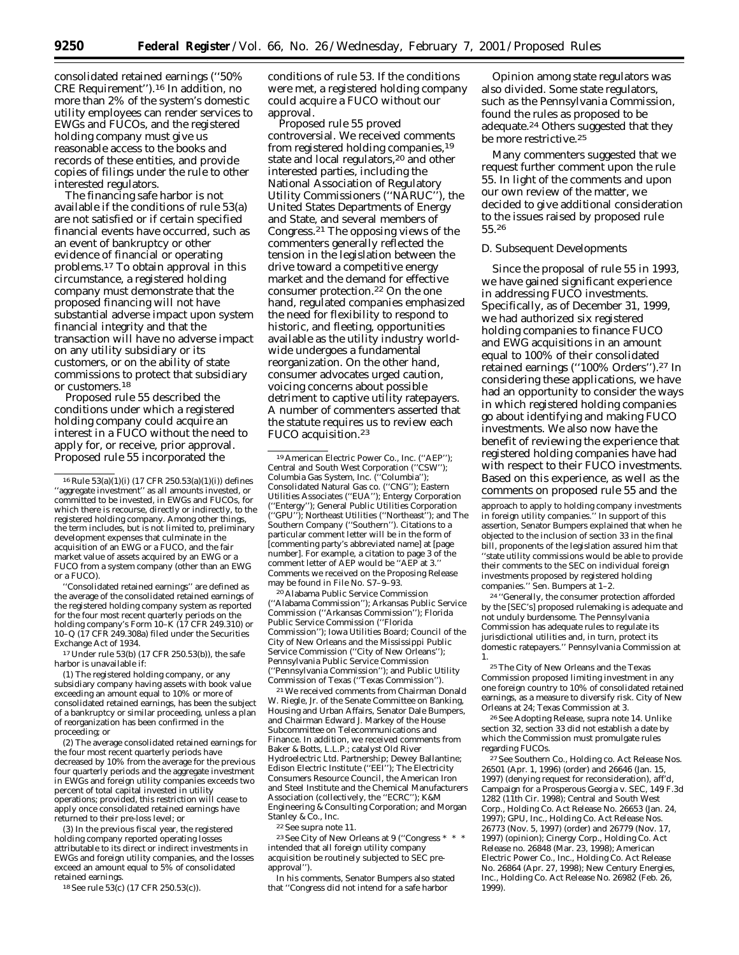consolidated retained earnings (''50% CRE Requirement'').16 In addition, no more than 2% of the system's domestic utility employees can render services to EWGs and FUCOs, and the registered holding company must give us reasonable access to the books and records of these entities, and provide copies of filings under the rule to other interested regulators.

The financing safe harbor is not available if the conditions of rule 53(a) are not satisfied or if certain specified financial events have occurred, such as an event of bankruptcy or other evidence of financial or operating problems.17 To obtain approval in this circumstance, a registered holding company must demonstrate that the proposed financing will not have substantial adverse impact upon system financial integrity and that the transaction will have no adverse impact on any utility subsidiary or its customers, or on the ability of state commissions to protect that subsidiary or customers.18

Proposed rule 55 described the conditions under which a registered holding company could acquire an interest in a FUCO without the need to apply for, or receive, prior approval. Proposed rule 55 incorporated the

''Consolidated retained earnings'' are defined as the average of the consolidated retained earnings of the registered holding company system as reported for the four most recent quarterly periods on the holding company's Form 10–K (17 CFR 249.310) or 10–Q (17 CFR 249.308a) filed under the Securities Exchange Act of 1934.

17Under rule 53(b) (17 CFR 250.53(b)), the safe harbor is unavailable if:

(1) The registered holding company, or any subsidiary company having assets with book value exceeding an amount equal to 10% or more of consolidated retained earnings, has been the subject of a bankruptcy or similar proceeding, unless a plan of reorganization has been confirmed in the proceeding; or

(2) The average consolidated retained earnings for the four most recent quarterly periods have decreased by 10% from the average for the previous four quarterly periods and the aggregate investment in EWGs and foreign utility companies exceeds two percent of total capital invested in utility operations; provided, this restriction will cease to apply once consolidated retained earnings have returned to their pre-loss level; or

(3) In the previous fiscal year, the registered holding company reported operating losses attributable to its direct or indirect investments in EWGs and foreign utility companies, and the losses exceed an amount equal to 5% of consolidated retained earnings.

18*See* rule 53(c) (17 CFR 250.53(c)).

conditions of rule 53. If the conditions were met, a registered holding company could acquire a FUCO without our approval.

Proposed rule 55 proved controversial. We received comments from registered holding companies,19 state and local regulators,<sup>20</sup> and other interested parties, including the National Association of Regulatory Utility Commissioners (''NARUC''), the United States Departments of Energy and State, and several members of Congress.21 The opposing views of the commenters generally reflected the tension in the legislation between the drive toward a competitive energy market and the demand for effective consumer protection.22 On the one hand, regulated companies emphasized the need for flexibility to respond to historic, and fleeting, opportunities available as the utility industry worldwide undergoes a fundamental reorganization. On the other hand, consumer advocates urged caution, voicing concerns about possible detriment to captive utility ratepayers. A number of commenters asserted that the statute requires us to review each FUCO acquisition.23

20Alabama Public Service Commission (''Alabama Commission''); Arkansas Public Service Commission (''Arkansas Commission''); Florida Public Service Commission (''Florida Commission''); Iowa Utilities Board; Council of the City of New Orleans and the Mississippi Public Service Commission (''City of New Orleans''); Pennsylvania Public Service Commission (''Pennsylvania Commission''); and Public Utility Commission of Texas (''Texas Commission'').

21We received comments from Chairman Donald W. Riegle, Jr. of the Senate Committee on Banking, Housing and Urban Affairs, Senator Dale Bumpers, and Chairman Edward J. Markey of the House Subcommittee on Telecommunications and Finance. In addition, we received comments from Baker & Botts, L.L.P.; catalyst Old River Hydroelectric Ltd. Partnership; Dewey Ballantine; Edison Electric Institute (''EEI''); The Electricity Consumers Resource Council, the American Iron and Steel Institute and the Chemical Manufacturers Association (collectively, the ''ECRC''); K&M Engineering & Consulting Corporation; and Morgan Stanley & Co., Inc.

22*See supra* note 11.

 $^{23} \, See$  City of New Orleans at 9 (''Congress \* \* \* intended that all foreign utility company acquisition be routinely subjected to SEC preapproval'').

In his comments, Senator Bumpers also stated that ''Congress did not intend for a safe harbor

Opinion among state regulators was also divided. Some state regulators, such as the Pennsylvania Commission, found the rules as proposed to be adequate.24 Others suggested that they be more restrictive.25

Many commenters suggested that we request further comment upon the rule 55. In light of the comments and upon our own review of the matter, we decided to give additional consideration to the issues raised by proposed rule 55.26

#### *D. Subsequent Developments*

Since the proposal of rule 55 in 1993, we have gained significant experience in addressing FUCO investments. Specifically, as of December 31, 1999, we had authorized six registered holding companies to finance FUCO and EWG acquisitions in an amount equal to 100% of their consolidated retained earnings (''100% Orders'').27 In considering these applications, we have had an opportunity to consider the ways in which registered holding companies go about identifying and making FUCO investments. We also now have the benefit of reviewing the experience that registered holding companies have had with respect to their FUCO investments. Based on this experience, as well as the comments on proposed rule 55 and the

approach to apply to holding company investments in foreign utility companies.'' In support of this assertion, Senator Bumpers explained that when he objected to the inclusion of section 33 in the final bill, proponents of the legislation assured him that ''state utility commissions would be able to provide their comments to the SEC on individual foreign investments proposed by registered holding companies.'' Sen. Bumpers at 1–2.

24 ''Generally, the consumer protection afforded by the [SEC's] proposed rulemaking is adequate and not unduly burdensome. The Pennsylvania Commission has adequate rules to regulate its jurisdictional utilities and, in turn, protect its domestic ratepayers.'' Pennsylvania Commission at 1.

26*See* Adopting Release, *supra* note 14. Unlike section 32, section 33 did not establish a date by which the Commission must promulgate rules regarding FUCOs.

27*See* Southern Co., Holding co. Act Release Nos. 26501 (Apr. 1, 1996) (order) and 26646 (Jan. 15, 1997) (denying request for reconsideration), *aff'd*, Campaign for a Prosperous Georgia v. SEC, 149 F.3d 1282 (11th Cir. 1998); Central and South West Corp., Holding Co. Act Release No. 26653 (Jan. 24, 1997); GPU, Inc., Holding Co. Act Release Nos. 26773 (Nov. 5, 1997) (order) and 26779 (Nov. 17, 1997) (opinion); Cinergy Corp., Holding Co. Act Release no. 26848 (Mar. 23, 1998); American Electric Power Co., Inc., Holding Co. Act Release No. 26864 (Apr. 27, 1998); New Century Energies, Inc., Holding Co. Act Release No. 26982 (Feb. 26, 1999).

<sup>16</sup>Rule 53(a)(1)(i) (17 CFR 250.53(a)(1)(i)) defines ''aggregate investment'' as all amounts invested, or committed to be invested, in EWGs and FUCOs, for which there is recourse, directly or indirectly, to the registered holding company. Among other things, the term includes, but is not limited to, preliminary development expenses that culminate in the acquisition of an EWG or a FUCO, and the fair market value of assets acquired by an EWG or a FUCO from a system company (other than an EWG or a FUCO).

<sup>19</sup>American Electric Power Co., Inc. (''AEP''); Central and South West Corporation (''CSW''); Columbia Gas System, Inc. (''Columbia''); Consolidated Natural Gas co. (''CNG''); Eastern Utilities Associates (''EUA''); Entergy Corporation (''Entergy''); General Public Utilities Corporation (''GPU''); Northeast Utilities (''Northeast''); and The Southern Company (''Southern''). Citations to a particular comment letter will be in the form of [commenting party's abbreviated name] at [page number]. For example, a citation to page 3 of the comment letter of AEP would be ''AEP at 3.'' Comments we received on the Proposing Release may be found in File No. S7–9–93.

<sup>25</sup>The City of New Orleans and the Texas Commission proposed limiting investment in any one foreign country to 10% of consolidated retained earnings, as a measure to diversify risk. City of New Orleans at 24; Texas Commission at 3.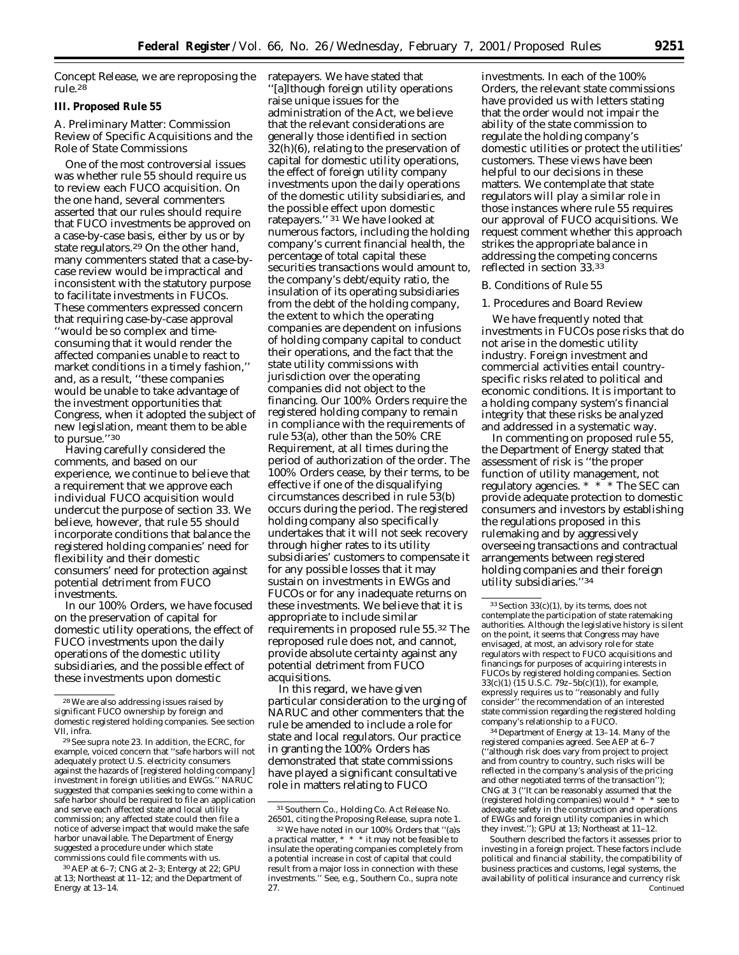Concept Release, we are reproposing the rule.28

# **III. Proposed Rule 55**

# *A. Preliminary Matter: Commission Review of Specific Acquisitions and the Role of State Commissions*

One of the most controversial issues was whether rule 55 should require us to review each FUCO acquisition. On the one hand, several commenters asserted that our rules should require that FUCO investments be approved on a case-by-case basis, either by us or by state regulators.29 On the other hand, many commenters stated that a case-bycase review would be impractical and inconsistent with the statutory purpose to facilitate investments in FUCOs. These commenters expressed concern that requiring case-by-case approval ''would be so complex and timeconsuming that it would render the affected companies unable to react to market conditions in a timely fashion,'' and, as a result, ''these companies would be unable to take advantage of the investment opportunities that Congress, when it adopted the subject of new legislation, meant them to be able to pursue.''30

Having carefully considered the comments, and based on our experience, we continue to believe that a requirement that we approve each individual FUCO acquisition would undercut the purpose of section 33. We believe, however, that rule 55 should incorporate conditions that balance the registered holding companies' need for flexibility and their domestic consumers' need for protection against potential detriment from FUCO investments.

In our 100% Orders, we have focused on the preservation of capital for domestic utility operations, the effect of FUCO investments upon the daily operations of the domestic utility subsidiaries, and the possible effect of these investments upon domestic

30AEP at 6–7; CNG at 2–3; Entergy at 22; GPU at 13; Northeast at 11–12; and the Department of Energy at 13–14.

ratepayers. We have stated that '[a]lthough foreign utility operations raise unique issues for the administration of the Act, we believe that the relevant considerations are generally those identified in section 32(h)(6), relating to the preservation of capital for domestic utility operations, the effect of foreign utility company investments upon the daily operations of the domestic utility subsidiaries, and the possible effect upon domestic ratepayers.'' 31 We have looked at numerous factors, including the holding company's current financial health, the percentage of total capital these securities transactions would amount to, the company's debt/equity ratio, the insulation of its operating subsidiaries from the debt of the holding company, the extent to which the operating companies are dependent on infusions of holding company capital to conduct their operations, and the fact that the state utility commissions with jurisdiction over the operating companies did not object to the financing. Our 100% Orders require the registered holding company to remain in compliance with the requirements of rule 53(a), other than the 50% CRE Requirement, at all times during the period of authorization of the order. The 100% Orders cease, by their terms, to be effective if one of the disqualifying circumstances described in rule 53(b) occurs during the period. The registered holding company also specifically undertakes that it will not seek recovery through higher rates to its utility subsidiaries' customers to compensate it for any possible losses that it may sustain on investments in EWGs and FUCOs or for any inadequate returns on these investments. We believe that it is appropriate to include similar requirements in proposed rule 55.32 The reproposed rule does not, and cannot, provide absolute certainty against any potential detriment from FUCO acquisitions.

In this regard, we have given particular consideration to the urging of NARUC and other commenters that the rule be amended to include a role for state and local regulators. Our practice in granting the 100% Orders has demonstrated that state commissions have played a significant consultative role in matters relating to FUCO

investments. In each of the 100% Orders, the relevant state commissions have provided us with letters stating that the order would not impair the ability of the state commission to regulate the holding company's domestic utilities or protect the utilities' customers. These views have been helpful to our decisions in these matters. We contemplate that state regulators will play a similar role in those instances where rule 55 requires our approval of FUCO acquisitions. We request comment whether this approach strikes the appropriate balance in addressing the competing concerns reflected in section 33.33

#### *B. Conditions of Rule 55*

#### 1. Procedures and Board Review

We have frequently noted that investments in FUCOs pose risks that do not arise in the domestic utility industry. Foreign investment and commercial activities entail countryspecific risks related to political and economic conditions. It is important to a holding company system's financial integrity that these risks be analyzed and addressed in a systematic way.

In commenting on proposed rule 55, the Department of Energy stated that assessment of risk is ''the proper function of utility management, not regulatory agencies. \* \* \* The SEC can provide adequate protection to domestic consumers and investors by establishing the regulations proposed in this rulemaking and by aggressively overseeing transactions and contractual arrangements between registered holding companies and their foreign utility subsidiaries.''34

34 Department of Energy at 13–14. Many of the registered companies agreed. *See* AEP at 6–7 (''although risk does vary from project to project and from country to country, such risks will be reflected in the company's analysis of the pricing and other negotiated terms of the transaction") CNG at 3 (''It can be reasonably assumed that the (registered holding companies) would \* \* \* see to adequate safety in the construction and operations of EWGs and foreign utility companies in which they invest.''); GPU at 13; Northeast at 11-12.

Southern described the factors it assesses prior to investing in a foreign project. These factors include political and financial stability, the compatibility of business practices and customs, legal systems, the availability of political insurance and currency risk Continued

<sup>28</sup>We are also addressing issues raised by significant FUCO ownership by foreign and domestic registered holding companies. *See* section VII, *infra*.

<sup>29</sup>*See supra* note 23. In addition, the ECRC, for example, voiced concern that ''safe harbors will not adequately protect U.S. electricity consumers against the hazards of [registered holding company] investment in foreign utilities and EWGs.'' NARUC suggested that companies seeking to come within a safe harbor should be required to file an application and serve each affected state and local utility commission; any affected state could then file a notice of adverse impact that would make the safe harbor unavailable. The Department of Energy suggested a procedure under which state commissions could file comments with us.

<sup>31</sup>Southern Co., Holding Co. Act Release No. 26501, citing the Proposing Release, *supra* note 1.

<sup>32</sup>We have noted in our 100% Orders that ''(a)s a practical matter, \* \* \* it may not be feasible to insulate the operating companies completely from a potential increase in cost of capital that could result from a major loss in connection with these investments.'' *See, e.g.,* Southern Co., *supra* note 27.

 $33$  Section  $33(c)(1)$ , by its terms, does not contemplate the participation of state ratemaking authorities. Although the legislative history is silent on the point, it seems that Congress may have envisaged, at most, an advisory role for state regulators with respect to FUCO acquisitions and financings for purposes of acquiring interests in FUCOs by registered holding companies. Section 33(c)(1) (15 U.S.C. 79z–5b(c)(1)), for example, expressly requires us to ''reasonably and fully consider'' the recommendation of an interested state commission regarding the registered holding company's relationship to a FUCO.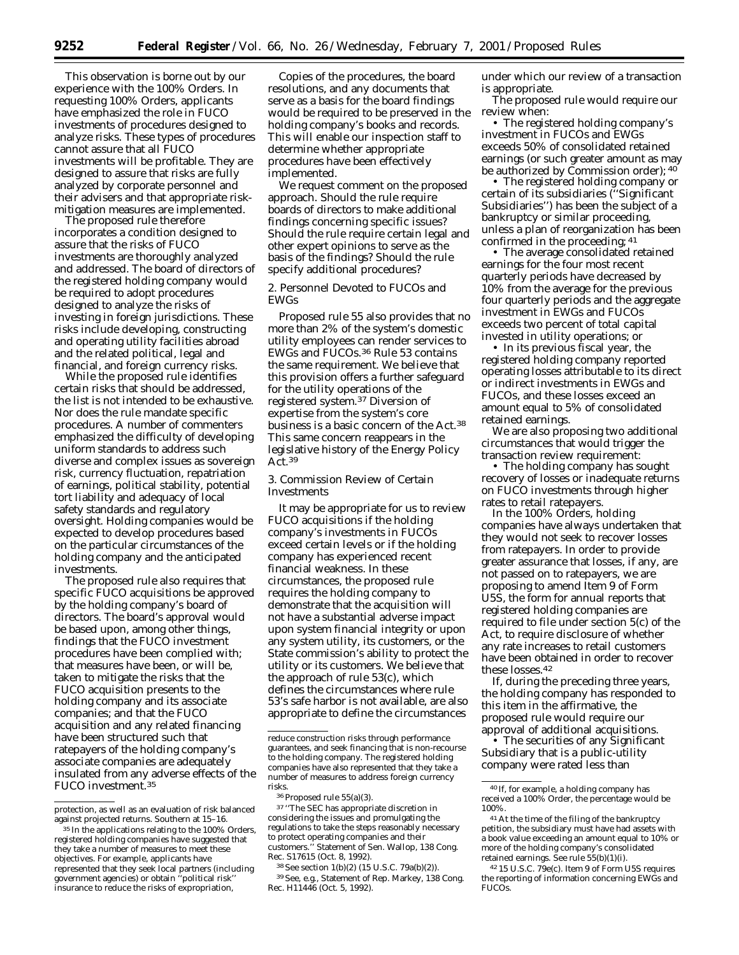This observation is borne out by our experience with the 100% Orders. In requesting 100% Orders, applicants have emphasized the role in FUCO investments of procedures designed to analyze risks. These types of procedures cannot assure that all FUCO investments will be profitable. They are designed to assure that risks are fully analyzed by corporate personnel and their advisers and that appropriate riskmitigation measures are implemented.

The proposed rule therefore incorporates a condition designed to assure that the risks of FUCO investments are thoroughly analyzed and addressed. The board of directors of the registered holding company would be required to adopt procedures designed to analyze the risks of investing in foreign jurisdictions. These risks include developing, constructing and operating utility facilities abroad and the related political, legal and financial, and foreign currency risks.

While the proposed rule identifies certain risks that should be addressed, the list is not intended to be exhaustive. Nor does the rule mandate specific procedures. A number of commenters emphasized the difficulty of developing uniform standards to address such diverse and complex issues as sovereign risk, currency fluctuation, repatriation of earnings, political stability, potential tort liability and adequacy of local safety standards and regulatory oversight. Holding companies would be expected to develop procedures based on the particular circumstances of the holding company and the anticipated investments.

The proposed rule also requires that specific FUCO acquisitions be approved by the holding company's board of directors. The board's approval would be based upon, among other things, findings that the FUCO investment procedures have been complied with; that measures have been, or will be, taken to mitigate the risks that the FUCO acquisition presents to the holding company and its associate companies; and that the FUCO acquisition and any related financing have been structured such that ratepayers of the holding company's associate companies are adequately insulated from any adverse effects of the FUCO investment.35

Copies of the procedures, the board resolutions, and any documents that serve as a basis for the board findings would be required to be preserved in the holding company's books and records. This will enable our inspection staff to determine whether appropriate procedures have been effectively implemented.

We request comment on the proposed approach. Should the rule require boards of directors to make additional findings concerning specific issues? Should the rule require certain legal and other expert opinions to serve as the basis of the findings? Should the rule specify additional procedures?

2. Personnel Devoted to FUCOs and EWGs

Proposed rule 55 also provides that no more than 2% of the system's domestic utility employees can render services to EWGs and FUCOs.36 Rule 53 contains the same requirement. We believe that this provision offers a further safeguard for the utility operations of the registered system.37 Diversion of expertise from the system's core business is a basic concern of the Act.38 This same concern reappears in the legislative history of the Energy Policy Act.39

3. Commission Review of Certain Investments

It may be appropriate for us to review FUCO acquisitions if the holding company's investments in FUCOs exceed certain levels or if the holding company has experienced recent financial weakness. In these circumstances, the proposed rule requires the holding company to demonstrate that the acquisition will not have a substantial adverse impact upon system financial integrity or upon any system utility, its customers, or the State commission's ability to protect the utility or its customers. We believe that the approach of rule 53(c), which defines the circumstances where rule 53's safe harbor is not available, are also appropriate to define the circumstances

37 ''The SEC has appropriate discretion in considering the issues and promulgating the regulations to take the steps reasonably necessary to protect operating companies and their customers.'' Statement of Sen. Wallop, 138 Cong. Rec. S17615 (Oct. 8, 1992).

38*See* section 1(b)(2) (15 U.S.C. 79a(b)(2)).

39*See, e.g.,* Statement of Rep. Markey, 138 Cong. Rec. H11446 (Oct. 5, 1992).

under which our review of a transaction is appropriate.

The proposed rule would require our review when:

• The registered holding company's investment in FUCOs and EWGs exceeds 50% of consolidated retained earnings (or such greater amount as may be authorized by Commission order); 40

• The registered holding company or certain of its subsidiaries (''Significant Subsidiaries'') has been the subject of a bankruptcy or similar proceeding, unless a plan of reorganization has been confirmed in the proceeding; 41

• The average consolidated retained earnings for the four most recent quarterly periods have decreased by 10% from the average for the previous four quarterly periods and the aggregate investment in EWGs and FUCOs exceeds two percent of total capital invested in utility operations; or

• In its previous fiscal year, the registered holding company reported operating losses attributable to its direct or indirect investments in EWGs and FUCOs, and these losses exceed an amount equal to 5% of consolidated retained earnings.

We are also proposing two additional circumstances that would trigger the transaction review requirement:

• The holding company has sought recovery of losses or inadequate returns on FUCO investments through higher rates to retail ratepayers.

In the 100% Orders, holding companies have always undertaken that they would not seek to recover losses from ratepayers. In order to provide greater assurance that losses, if any, are not passed on to ratepayers, we are proposing to amend Item 9 of Form U5S, the form for annual reports that registered holding companies are required to file under section 5(c) of the Act, to require disclosure of whether any rate increases to retail customers have been obtained in order to recover these losses.42

If, during the preceding three years, the holding company has responded to this item in the affirmative, the proposed rule would require our approval of additional acquisitions.

• The securities of any Significant Subsidiary that is a public-utility company were rated less than

protection, as well as an evaluation of risk balanced against projected returns. Southern at 15–16.

<sup>35</sup> In the applications relating to the 100% Orders, registered holding companies have suggested that they take a number of measures to meet these objectives. For example, applicants have represented that they seek local partners (including government agencies) or obtain ''political risk'' insurance to reduce the risks of expropriation,

reduce construction risks through performance guarantees, and seek financing that is non-recourse to the holding company. The registered holding companies have also represented that they take a number of measures to address foreign currency risks.

<sup>36</sup>Proposed rule 55(a)(3).

<sup>40</sup> If, for example, a holding company has received a 100% Order, the percentage would be 100%.

<sup>41</sup>At the time of the filing of the bankruptcy petition, the subsidiary must have had assets with a book value exceeding an amount equal to 10% or more of the holding company's consolidated retained earnings. *See* rule 55(b)(1)(i).

<sup>42</sup> 15 U.S.C. 79e(c). Item 9 of Form U5S requires the reporting of information concerning EWGs and FUCOs.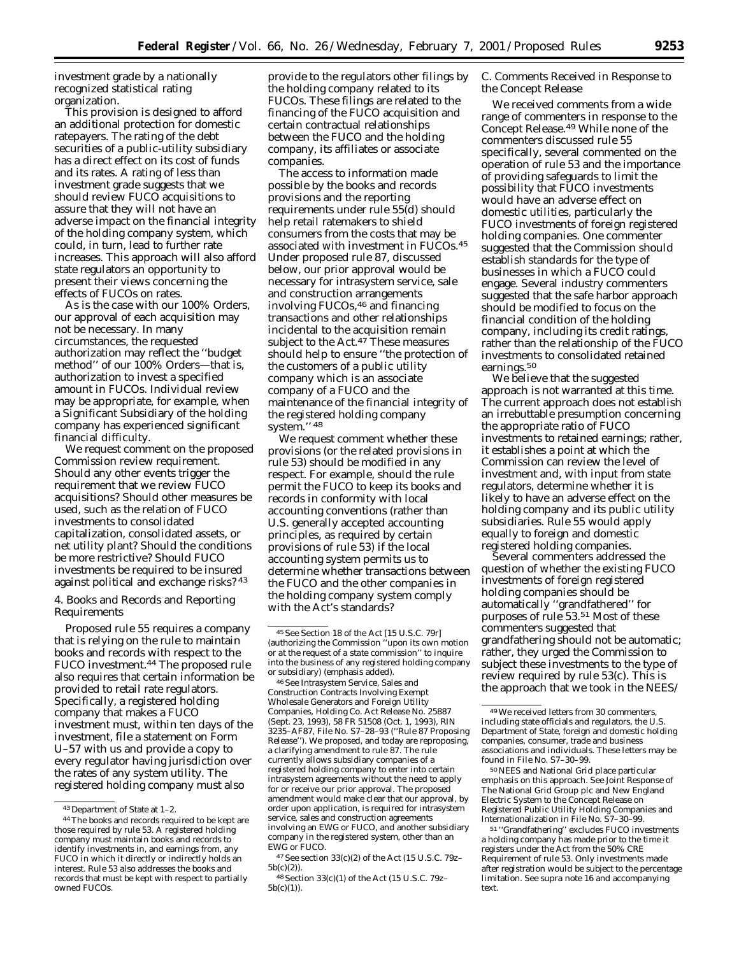investment grade by a nationally recognized statistical rating organization.

This provision is designed to afford an additional protection for domestic ratepayers. The rating of the debt securities of a public-utility subsidiary has a direct effect on its cost of funds and its rates. A rating of less than investment grade suggests that we should review FUCO acquisitions to assure that they will not have an adverse impact on the financial integrity of the holding company system, which could, in turn, lead to further rate increases. This approach will also afford state regulators an opportunity to present their views concerning the effects of FUCOs on rates.

As is the case with our 100% Orders, our approval of each acquisition may not be necessary. In many circumstances, the requested authorization may reflect the ''budget method'' of our 100% Orders—that is, authorization to invest a specified amount in FUCOs. Individual review may be appropriate, for example, when a Significant Subsidiary of the holding company has experienced significant financial difficulty.

We request comment on the proposed Commission review requirement. Should any other events trigger the requirement that we review FUCO acquisitions? Should other measures be used, such as the relation of FUCO investments to consolidated capitalization, consolidated assets, or net utility plant? Should the conditions be more restrictive? Should FUCO investments be required to be insured against political and exchange risks? 43

4. Books and Records and Reporting Requirements

Proposed rule 55 requires a company that is relying on the rule to maintain books and records with respect to the FUCO investment.44 The proposed rule also requires that certain information be provided to retail rate regulators. Specifically, a registered holding company that makes a FUCO investment must, within ten days of the investment, file a statement on Form U–57 with us and provide a copy to every regulator having jurisdiction over the rates of any system utility. The registered holding company must also

provide to the regulators other filings by the holding company related to its FUCOs. These filings are related to the financing of the FUCO acquisition and certain contractual relationships between the FUCO and the holding company, its affiliates or associate companies.

The access to information made possible by the books and records provisions and the reporting requirements under rule 55(d) should help retail ratemakers to shield consumers from the costs that may be associated with investment in FUCOs.45 Under proposed rule 87, discussed below, our prior approval would be necessary for intrasystem service, sale and construction arrangements involving FUCOs,46 and financing transactions and other relationships incidental to the acquisition remain subject to the Act.<sup>47</sup> These measures should help to ensure ''the protection of the customers of a public utility company which is an associate company of a FUCO and the maintenance of the financial integrity of the registered holding company system.'' 48

We request comment whether these provisions (or the related provisions in rule 53) should be modified in any respect. For example, should the rule permit the FUCO to keep its books and records in conformity with local accounting conventions (rather than U.S. generally accepted accounting principles, as required by certain provisions of rule 53) if the local accounting system permits us to determine whether transactions between the FUCO and the other companies in the holding company system comply with the Act's standards?

46*See* Intrasystem Service, Sales and Construction Contracts Involving Exempt Wholesale Generators and Foreign Utility Companies, Holding Co. Act Release No. 25887 (Sept. 23, 1993), 58 FR 51508 (Oct. 1, 1993), RIN 3235–AF87, File No. S7–28–93 (''Rule 87 Proposing Release''). We proposed, and today are reproposing, a clarifying amendment to rule 87. The rule currently allows subsidiary companies of a registered holding company to enter into certain intrasystem agreements without the need to apply for or receive our prior approval. The proposed amendment would make clear that our approval, by order upon application, is required for intrasystem service, sales and construction agreements involving an EWG or FUCO, and another subsidiary company in the registered system, other than an EWG or FUCO.

# *C. Comments Received in Response to the Concept Release*

We received comments from a wide range of commenters in response to the Concept Release.49 While none of the commenters discussed rule 55 specifically, several commented on the operation of rule 53 and the importance of providing safeguards to limit the possibility that FUCO investments would have an adverse effect on domestic utilities, particularly the FUCO investments of *foreign* registered holding companies. One commenter suggested that the Commission should establish standards for the type of businesses in which a FUCO could engage. Several industry commenters suggested that the safe harbor approach should be modified to focus on the financial condition of the holding company, including its credit ratings, rather than the relationship of the FUCO investments to consolidated retained earnings.<sup>50</sup>

We believe that the suggested approach is not warranted at this time. The current approach does not establish an irrebuttable presumption concerning the appropriate ratio of FUCO investments to retained earnings; rather, it establishes a point at which the Commission can review the level of investment and, with input from state regulators, determine whether it is likely to have an adverse effect on the holding company and its public utility subsidiaries. Rule 55 would apply equally to foreign and domestic registered holding companies.

Several commenters addressed the question of whether the existing FUCO investments of foreign registered holding companies should be automatically ''grandfathered'' for purposes of rule 53.51 Most of these commenters suggested that grandfathering should not be automatic; rather, they urged the Commission to subject these investments to the type of review required by rule 53(c). This is the approach that we took in the NEES/

50NEES and National Grid place particular emphasis on this approach. *See* Joint Response of The National Grid Group plc and New England Electric System to the Concept Release on Registered Public Utility Holding Companies and Internationalization in File No. S7–30–99.

<sup>43</sup> Department of State at 1–2.

<sup>44</sup>The books and records required to be kept are those required by rule 53. A registered holding company must maintain books and records to identify investments in, and earnings from, any FUCO in which it directly or indirectly holds an interest. Rule 53 also addresses the books and records that must be kept with respect to partially owned FUCOs.

<sup>45</sup>*See* Section 18 of the Act [15 U.S.C. 79r] (authorizing the Commission ''upon its own motion *or at the request of a state commission*'' to inquire into the business of any registered holding company or subsidiary) (emphasis added).

<sup>47</sup>*See* section 33(c)(2) of the Act (15 U.S.C. 79z– 5b(c)(2)).

<sup>48</sup>Section 33(c)(1) of the Act (15 U.S.C. 79z– 5b(c)(1)).

<sup>49</sup>We received letters from 30 commenters, including state officials and regulators, the U.S. Department of State, foreign and domestic holding companies, consumer, trade and business associations and individuals. These letters may be found in File No. S7–30–99.

<sup>51</sup> ''Grandfathering'' excludes FUCO investments a holding company has made prior to the time it registers under the Act from the 50% CRE Requirement of rule 53. Only investments made after registration would be subject to the percentage limitation. *See supra* note 16 and accompanying text.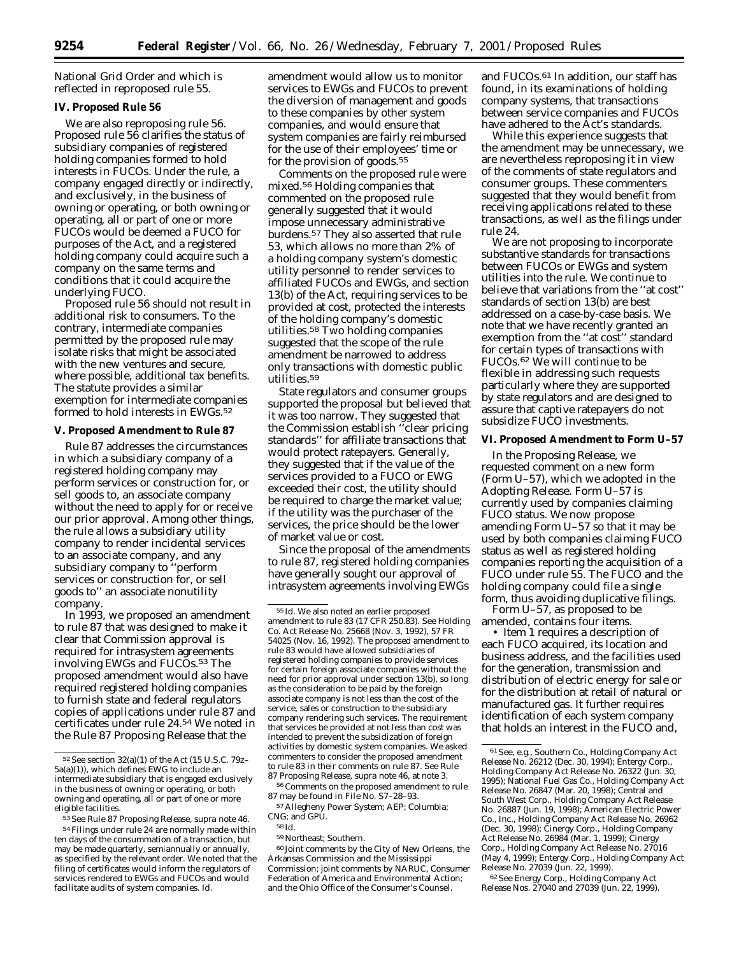National Grid Order and which is reflected in reproposed rule 55.

# **IV. Proposed Rule 56**

We are also reproposing rule 56. Proposed rule 56 clarifies the status of subsidiary companies of registered holding companies formed to hold interests in FUCOs. Under the rule, a company engaged directly or indirectly, and exclusively, in the business of owning or operating, or both owning or operating, all or part of one or more FUCOs would be deemed a FUCO for purposes of the Act, and a registered holding company could acquire such a company on the same terms and conditions that it could acquire the underlying FUCO.

Proposed rule 56 should not result in additional risk to consumers. To the contrary, intermediate companies permitted by the proposed rule may isolate risks that might be associated with the new ventures and secure, where possible, additional tax benefits. The statute provides a similar exemption for intermediate companies formed to hold interests in EWGs.<sup>52</sup>

#### **V. Proposed Amendment to Rule 87**

Rule 87 addresses the circumstances in which a subsidiary company of a registered holding company may perform services or construction for, or sell goods to, an associate company without the need to apply for or receive our prior approval. Among other things, the rule allows a subsidiary utility company to render incidental services to an associate company, and any subsidiary company to ''perform services or construction for, or sell goods to'' an associate nonutility company.

In 1993, we proposed an amendment to rule 87 that was designed to make it clear that Commission approval is required for intrasystem agreements involving EWGs and FUCOs.53 The proposed amendment would also have required registered holding companies to furnish state and federal regulators copies of applications under rule 87 and certificates under rule 24.54 We noted in the Rule 87 Proposing Release that the

amendment would allow us to monitor services to EWGs and FUCOs to prevent the diversion of management and goods to these companies by other system companies, and would ensure that system companies are fairly reimbursed for the use of their employees' time or for the provision of goods.55

Comments on the proposed rule were mixed.56 Holding companies that commented on the proposed rule generally suggested that it would impose unnecessary administrative burdens.57 They also asserted that rule 53, which allows no more than 2% of a holding company system's domestic utility personnel to render services to affiliated FUCOs and EWGs, and section 13(b) of the Act, requiring services to be provided at cost, protected the interests of the holding company's domestic utilities.58 Two holding companies suggested that the scope of the rule amendment be narrowed to address only transactions with domestic public utilities.59

State regulators and consumer groups supported the proposal but believed that it was too narrow. They suggested that the Commission establish ''clear pricing standards'' for affiliate transactions that would protect ratepayers. Generally, they suggested that if the value of the services provided to a FUCO or EWG exceeded their cost, the utility should be required to charge the market value; if the utility was the purchaser of the services, the price should be the lower of market value or cost.

Since the proposal of the amendments to rule 87, registered holding companies have generally sought our approval of intrasystem agreements involving EWGs

56Comments on the proposed amendment to rule 87 may be found in File No. S7–28–93.

60 Joint comments by the City of New Orleans, the Arkansas Commission and the Mississippi Commission; joint comments by NARUC, Consumer Federation of America and Environmental Action; and the Ohio Office of the Consumer's Counsel.

and FUCOs.61 In addition, our staff has found, in its examinations of holding company systems, that transactions between service companies and FUCOs have adhered to the Act's standards.

While this experience suggests that the amendment may be unnecessary, we are nevertheless reproposing it in view of the comments of state regulators and consumer groups. These commenters suggested that they would benefit from receiving applications related to these transactions, as well as the filings under rule 24.

We are not proposing to incorporate substantive standards for transactions between FUCOs or EWGs and system utilities into the rule. We continue to believe that variations from the ''at cost'' standards of section 13(b) are best addressed on a case-by-case basis. We note that we have recently granted an exemption from the ''at cost'' standard for certain types of transactions with FUCOs.62 We will continue to be flexible in addressing such requests particularly where they are supported by state regulators and are designed to assure that captive ratepayers do not subsidize FUCO investments.

#### **VI. Proposed Amendment to Form U–57**

In the Proposing Release, we requested comment on a new form (Form U–57), which we adopted in the Adopting Release. Form U–57 is currently used by companies claiming FUCO status. We now propose amending Form U–57 so that it may be used by both companies claiming FUCO status as well as registered holding companies reporting the acquisition of a FUCO under rule 55. The FUCO and the holding company could file a single form, thus avoiding duplicative filings.

Form U–57, as proposed to be amended, contains four items.

• Item 1 requires a description of each FUCO acquired, its location and business address, and the facilities used for the generation, transmission and distribution of electric energy for sale or for the distribution at retail of natural or manufactured gas. It further requires identification of each system company that holds an interest in the FUCO and,

62*See* Energy Corp., Holding Company Act Release Nos. 27040 and 27039 (Jun. 22, 1999).

<sup>52</sup>*See* section 32(a)(1) of the Act (15 U.S.C. 79z– 5a(a)(1)), which defines EWG to include an intermediate subsidiary that is engaged exclusively in the business of owning or operating, or both owning and operating, all or part of one or more eligible facilities.

<sup>53</sup>*See* Rule 87 Proposing Release, *supra* note 46. 54Filings under rule 24 are normally made within ten days of the consummation of a transaction, but may be made quarterly, semiannually or annually, as specified by the relevant order. We noted that the filing of certificates would inform the regulators of services rendered to EWGs and FUCOs and would facilitate audits of system companies. *Id.*

<sup>55</sup> *Id.* We also noted an earlier proposed amendment to rule 83 (17 CFR 250.83). *See* Holding Co. Act Release No. 25668 (Nov. 3, 1992), 57 FR 54025 (Nov. 16, 1992). The proposed amendment to rule 83 would have allowed subsidiaries of registered holding companies to provide services for certain foreign associate companies without the need for prior approval under section 13(b), so long as the consideration to be paid by the foreign associate company is not less than the cost of the service, sales or construction to the subsidiary company rendering such services. The requirement that services be provided at not less than cost was intended to prevent the subsidization of foreign activities by domestic system companies. We asked commenters to consider the proposed amendment to rule 83 in their comments on rule 87. *See* Rule 87 Proposing Release, *supra* note 46, at note 3.

<sup>57</sup>Allegheny Power System; AEP; Columbia; CNG; and GPU. 58 *Id.*

<sup>59</sup>Northeast; Southern.

<sup>61</sup>*See, e.g.,* Southern Co., Holding Company Act Release No. 26212 (Dec. 30, 1994); Entergy Corp., Holding Company Act Release No. 26322 (Jun. 30, 1995); National Fuel Gas Co., Holding Company Act Release No. 26847 (Mar. 20, 1998); Central and South West Corp., Holding Company Act Release No. 26887 (Jun. 19, 1998); American Electric Power Co., Inc., Holding Company Act Release No. 26962 (Dec. 30, 1998); Cinergy Corp., Holding Company Act Release No. 26984 (Mar. 1, 1999); Cinerg Corp., Holding Company Act Release No. 27016 (May 4, 1999); Entergy Corp., Holding Company Act Release No. 27039 (Jun. 22, 1999).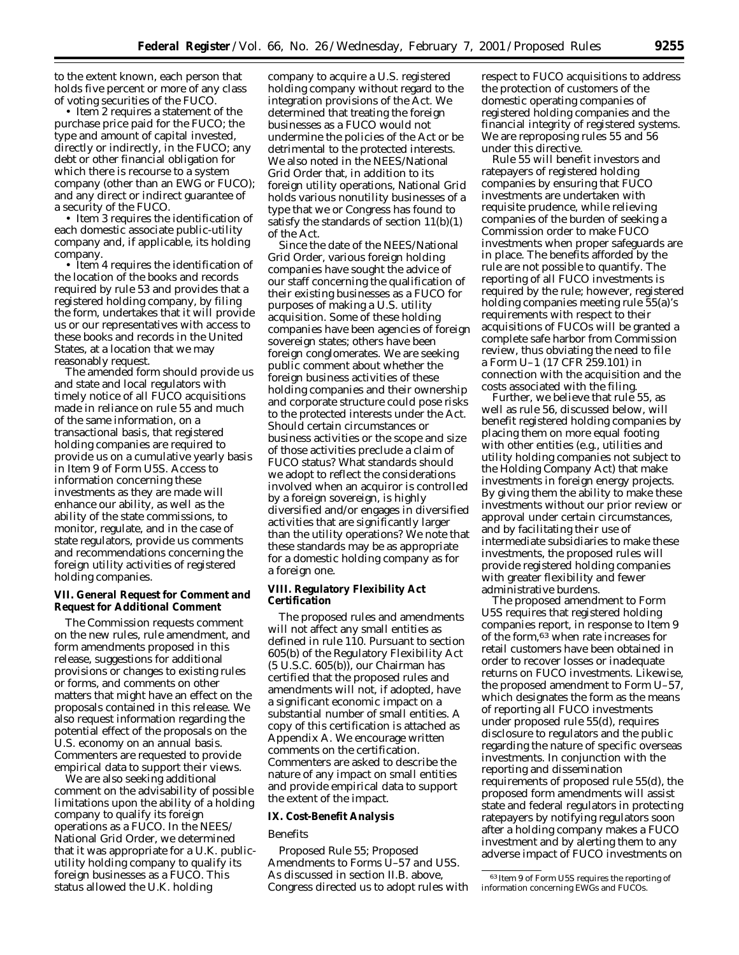to the extent known, each person that holds five percent or more of any class of voting securities of the FUCO.

• Item 2 requires a statement of the purchase price paid for the FUCO; the type and amount of capital invested, directly or indirectly, in the FUCO; any debt or other financial obligation for which there is recourse to a system company (other than an EWG or FUCO); and any direct or indirect guarantee of a security of the FUCO.

• Item 3 requires the identification of each domestic associate public-utility company and, if applicable, its holding company.

• Item 4 requires the identification of the location of the books and records required by rule 53 and provides that a registered holding company, by filing the form, undertakes that it will provide us or our representatives with access to these books and records in the United States, at a location that we may reasonably request.

The amended form should provide us and state and local regulators with timely notice of all FUCO acquisitions made in reliance on rule 55 and much of the same information, on a transactional basis, that registered holding companies are required to provide us on a cumulative yearly basis in Item 9 of Form U5S. Access to information concerning these investments as they are made will enhance our ability, as well as the ability of the state commissions, to monitor, regulate, and in the case of state regulators, provide us comments and recommendations concerning the foreign utility activities of registered holding companies.

#### **VII. General Request for Comment and Request for Additional Comment**

The Commission requests comment on the new rules, rule amendment, and form amendments proposed in this release, suggestions for additional provisions or changes to existing rules or forms, and comments on other matters that might have an effect on the proposals contained in this release. We also request information regarding the potential effect of the proposals on the U.S. economy on an annual basis. Commenters are requested to provide empirical data to support their views.

We are also seeking additional comment on the advisability of possible limitations upon the ability of a holding company to qualify its foreign operations as a FUCO. In the NEES/ National Grid Order, we determined that it was appropriate for a U.K. publicutility holding company to qualify its foreign businesses as a FUCO. This status allowed the U.K. holding

company to acquire a U.S. registered holding company without regard to the integration provisions of the Act. We determined that treating the foreign businesses as a FUCO would not undermine the policies of the Act or be detrimental to the protected interests. We also noted in the NEES/National Grid Order that, in addition to its foreign utility operations, National Grid holds various nonutility businesses of a type that we or Congress has found to satisfy the standards of section  $11(b)(1)$ of the Act.

Since the date of the NEES/National Grid Order, various foreign holding companies have sought the advice of our staff concerning the qualification of their existing businesses as a FUCO for purposes of making a U.S. utility acquisition. Some of these holding companies have been agencies of foreign sovereign states; others have been foreign conglomerates. We are seeking public comment about whether the foreign business activities of these holding companies and their ownership and corporate structure could pose risks to the protected interests under the Act. Should certain circumstances or business activities or the scope and size of those activities preclude a claim of FUCO status? What standards should we adopt to reflect the considerations involved when an acquiror is controlled by a foreign sovereign, is highly diversified and/or engages in diversified activities that are significantly larger than the utility operations? We note that these standards may be as appropriate for a domestic holding company as for a foreign one.

# **VIII. Regulatory Flexibility Act Certification**

The proposed rules and amendments will not affect any small entities as defined in rule 110. Pursuant to section 605(b) of the Regulatory Flexibility Act (5 U.S.C. 605(b)), our Chairman has certified that the proposed rules and amendments will not, if adopted, have a significant economic impact on a substantial number of small entities. A copy of this certification is attached as Appendix A. We encourage written comments on the certification. Commenters are asked to describe the nature of any impact on small entities and provide empirical data to support the extent of the impact.

#### **IX. Cost-Benefit Analysis**

#### *Benefits*

*Proposed Rule 55; Proposed Amendments to Forms U–57 and U5S.* As discussed in section II.B. above, Congress directed us to adopt rules with respect to FUCO acquisitions to address the protection of customers of the domestic operating companies of registered holding companies and the financial integrity of registered systems. We are reproposing rules 55 and 56 under this directive.

Rule 55 will benefit investors and ratepayers of registered holding companies by ensuring that FUCO investments are undertaken with requisite prudence, while relieving companies of the burden of seeking a Commission order to make FUCO investments when proper safeguards are in place. The benefits afforded by the rule are not possible to quantify. The reporting of all FUCO investments is required by the rule; however, registered holding companies meeting rule 55(a)'s requirements with respect to their acquisitions of FUCOs will be granted a complete safe harbor from Commission review, thus obviating the need to file a Form U–1 (17 CFR 259.101) in connection with the acquisition and the costs associated with the filing.

Further, we believe that rule 55, as well as rule 56, discussed below, will benefit registered holding companies by placing them on more equal footing with other entities (*e.g.,* utilities and utility holding companies not subject to the Holding Company Act) that make investments in foreign energy projects. By giving them the ability to make these investments without our prior review or approval under certain circumstances, and by facilitating their use of intermediate subsidiaries to make these investments, the proposed rules will provide registered holding companies with greater flexibility and fewer administrative burdens.

The proposed amendment to Form U5S requires that registered holding companies report, in response to Item 9 of the form,63 when rate increases for retail customers have been obtained in order to recover losses or inadequate returns on FUCO investments. Likewise, the proposed amendment to Form U–57, which designates the form as the means of reporting all FUCO investments under proposed rule 55(d), requires disclosure to regulators and the public regarding the nature of specific overseas investments. In conjunction with the reporting and dissemination requirements of proposed rule 55(d), the proposed form amendments will assist state and federal regulators in protecting ratepayers by notifying regulators soon

after a holding company makes a FUCO investment and by alerting them to any adverse impact of FUCO investments on

<sup>63</sup> Item 9 of Form U5S requires the reporting of information concerning EWGs and FUCOs.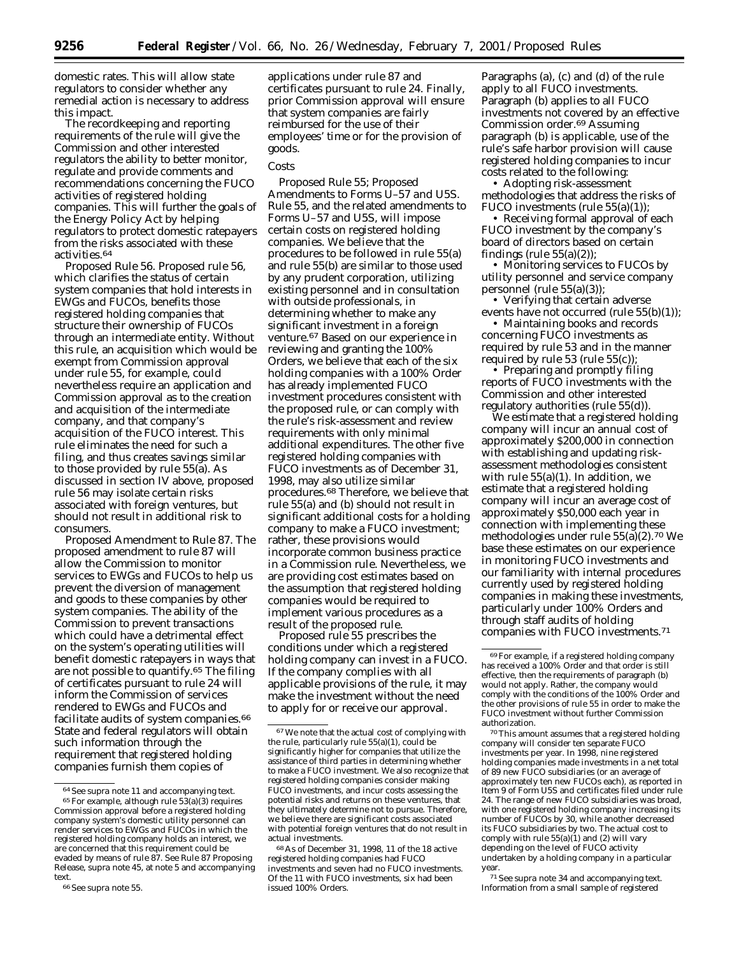domestic rates. This will allow state regulators to consider whether any remedial action is necessary to address this impact.

The recordkeeping and reporting requirements of the rule will give the Commission and other interested regulators the ability to better monitor, regulate and provide comments and recommendations concerning the FUCO activities of registered holding companies. This will further the goals of the Energy Policy Act by helping regulators to protect domestic ratepayers from the risks associated with these activities.64

*Proposed Rule 56.* Proposed rule 56, which clarifies the status of certain system companies that hold interests in EWGs and FUCOs, benefits those registered holding companies that structure their ownership of FUCOs through an intermediate entity. Without this rule, an acquisition which would be exempt from Commission approval under rule 55, for example, could nevertheless require an application and Commission approval as to the creation and acquisition of the intermediate company, and that company's acquisition of the FUCO interest. This rule eliminates the need for such a filing, and thus creates savings similar to those provided by rule 55(a). As discussed in section IV above, proposed rule 56 may isolate certain risks associated with foreign ventures, but should not result in additional risk to consumers.

*Proposed Amendment to Rule 87.* The proposed amendment to rule 87 will allow the Commission to monitor services to EWGs and FUCOs to help us prevent the diversion of management and goods to these companies by other system companies. The ability of the Commission to prevent transactions which could have a detrimental effect on the system's operating utilities will benefit domestic ratepayers in ways that are not possible to quantify.65 The filing of certificates pursuant to rule 24 will inform the Commission of services rendered to EWGs and FUCOs and facilitate audits of system companies.<sup>66</sup> State and federal regulators will obtain such information through the requirement that registered holding companies furnish them copies of

applications under rule 87 and certificates pursuant to rule 24. Finally, prior Commission approval will ensure that system companies are fairly reimbursed for the use of their employees' time or for the provision of goods.

#### *Costs*

*Proposed Rule 55; Proposed Amendments to Forms U–57 and U5S.* Rule 55, and the related amendments to Forms U–57 and U5S, will impose certain costs on registered holding companies. We believe that the procedures to be followed in rule 55(a) and rule 55(b) are similar to those used by any prudent corporation, utilizing existing personnel and in consultation with outside professionals, in determining whether to make any significant investment in a foreign venture.67 Based on our experience in reviewing and granting the 100% Orders, we believe that each of the six holding companies with a 100% Order has already implemented FUCO investment procedures consistent with the proposed rule, or can comply with the rule's risk-assessment and review requirements with only minimal additional expenditures. The other five registered holding companies with FUCO investments as of December 31, 1998, may also utilize similar procedures.68 Therefore, we believe that rule 55(a) and (b) should not result in significant additional costs for a holding company to make a FUCO investment; rather, these provisions would incorporate common business practice in a Commission rule. Nevertheless, we are providing cost estimates based on the assumption that registered holding companies would be required to implement various procedures as a result of the proposed rule.

Proposed rule 55 prescribes the conditions under which a registered holding company can invest in a FUCO. If the company complies with all applicable provisions of the rule, it may make the investment without the need to apply for or receive our approval.

Paragraphs (a), (c) and (d) of the rule apply to all FUCO investments. Paragraph (b) applies to all FUCO investments not covered by an effective Commission order.69 Assuming paragraph (b) is applicable, use of the rule's safe harbor provision will cause registered holding companies to incur costs related to the following:

• Adopting risk-assessment methodologies that address the risks of FUCO investments (rule 55(a)(1));

• Receiving formal approval of each FUCO investment by the company's board of directors based on certain findings (rule  $55(a)(2)$ );

• Monitoring services to FUCOs by utility personnel and service company personnel (rule 55(a)(3));

• Verifying that certain adverse events have not occurred (rule  $55(b)(1)$ );

• Maintaining books and records concerning FUCO investments as required by rule 53 and in the manner required by rule 53 (rule 55(c));

• Preparing and promptly filing reports of FUCO investments with the Commission and other interested regulatory authorities (rule 55(d)).

We estimate that a registered holding company will incur an annual cost of approximately \$200,000 in connection with establishing and updating riskassessment methodologies consistent with rule 55(a)(1). In addition, we estimate that a registered holding company will incur an average cost of approximately \$50,000 each year in connection with implementing these methodologies under rule 55(a)(2).70 We base these estimates on our experience in monitoring FUCO investments and our familiarity with internal procedures currently used by registered holding companies in making these investments, particularly under 100% Orders and through staff audits of holding companies with FUCO investments.71

70This amount assumes that a registered holding company will consider ten separate FUCO investments per year. In 1998, nine registered holding companies made investments in a net total of 89 new FUCO subsidiaries (or an average of approximately ten new FUCOs each), as reported in Item 9 of Form U5S and certificates filed under rule 24. The range of new FUCO subsidiaries was broad, with one registered holding company increasing its number of FUCOs by 30, while another decreased its FUCO subsidiaries by two. The actual cost to comply with rule 55(a)(1) and (2) will vary depending on the level of FUCO activity undertaken by a holding company in a particular year.

71*See supra* note 34 and accompanying text. Information from a small sample of registered

<sup>64</sup>*See supra* note 11 and accompanying text. 65For example, although rule 53(a)(3) requires Commission approval before a registered holding company system's domestic utility personnel can render services to EWGs and FUCOs in which the registered holding company holds an interest, we are concerned that this requirement could be evaded by means of rule 87. *See* Rule 87 Proposing Release, *supra* note 45, at note 5 and accompanying text.

<sup>66</sup>*See supra* note 55.

<sup>67</sup>We note that the actual cost of complying with the rule, particularly rule  $55(a)(1)$ , could be significantly higher for companies that utilize the assistance of third parties in determining whether to make a FUCO investment. We also recognize that registered holding companies consider making FUCO investments, and incur costs assessing the potential risks and returns on these ventures, that they ultimately determine not to pursue. Therefore, we believe there are significant costs associated with potential foreign ventures that do not result in actual investments.

<sup>68</sup>As of December 31, 1998, 11 of the 18 active registered holding companies had FUCO investments and seven had no FUCO investments. Of the 11 with FUCO investments, six had been issued 100% Orders.

<sup>69</sup>For example, if a registered holding company has received a 100% Order and that order is still effective, then the requirements of paragraph (b) would not apply. Rather, the company would comply with the conditions of the 100% Order and the other provisions of rule 55 in order to make the FUCO investment without further Commission authorization.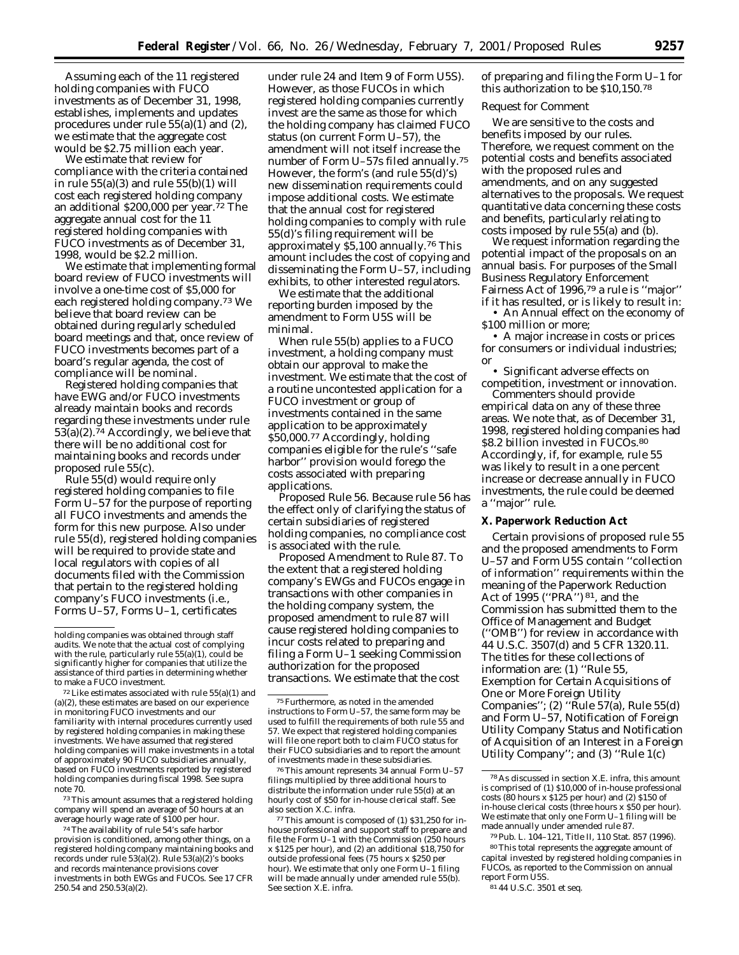Assuming each of the 11 registered holding companies with FUCO investments as of December 31, 1998, establishes, implements and updates procedures under rule 55(a)(1) and (2), we estimate that the aggregate cost would be \$2.75 million each year.

We estimate that review for compliance with the criteria contained in rule  $55(a)(3)$  and rule  $55(b)(1)$  will cost each registered holding company an additional \$200,000 per year.72 The aggregate annual cost for the 11 registered holding companies with FUCO investments as of December 31, 1998, would be \$2.2 million.

We estimate that implementing formal board review of FUCO investments will involve a one-time cost of \$5,000 for each registered holding company.73 We believe that board review can be obtained during regularly scheduled board meetings and that, once review of FUCO investments becomes part of a board's regular agenda, the cost of compliance will be nominal.

Registered holding companies that have EWG and/or FUCO investments already maintain books and records regarding these investments under rule  $53(a)(2)$ .<sup>74</sup> Accordingly, we believe that there will be no additional cost for maintaining books and records under proposed rule 55(c).

Rule 55(d) would require only registered holding companies to file Form U–57 for the purpose of reporting all FUCO investments and amends the form for this new purpose. Also under rule 55(d), registered holding companies will be required to provide state and local regulators with copies of all documents filed with the Commission that pertain to the registered holding company's FUCO investments (*i.e.,* Forms U–57, Forms U–1, certificates

73This amount assumes that a registered holding company will spend an average of 50 hours at an average hourly wage rate of \$100 per hour.

74The availability of rule 54's safe harbor provision is conditioned, among other things, on a registered holding company maintaining books and records under rule 53(a)(2). Rule 53(a)(2)'s books and records maintenance provisions cover investments in both EWGs and FUCOs. *See* 17 CFR 250.54 and 250.53(a)(2).

under rule 24 and Item 9 of Form U5S). However, as those FUCOs in which registered holding companies currently invest are the same as those for which the holding company has claimed FUCO status (on current Form U–57), the amendment will not itself increase the number of Form U–57s filed annually.75 However, the form's (and rule 55(d)'s) new dissemination requirements could impose additional costs. We estimate that the annual cost for registered holding companies to comply with rule 55(d)'s filing requirement will be approximately \$5,100 annually.76 This amount includes the cost of copying and disseminating the Form U–57, including exhibits, to other interested regulators.

We estimate that the additional reporting burden imposed by the amendment to Form U5S will be minimal.

When rule 55(b) applies to a FUCO investment, a holding company must obtain our approval to make the investment. We estimate that the cost of a routine uncontested application for a FUCO investment or group of investments contained in the same application to be approximately \$50,000.77 Accordingly, holding companies eligible for the rule's ''safe harbor'' provision would forego the costs associated with preparing applications.

*Proposed Rule 56.* Because rule 56 has the effect only of clarifying the status of certain subsidiaries of registered holding companies, no compliance cost is associated with the rule.

*Proposed Amendment to Rule 87.* To the extent that a registered holding company's EWGs and FUCOs engage in transactions with other companies in the holding company system, the proposed amendment to rule 87 will cause registered holding companies to incur costs related to preparing and filing a Form U–1 seeking Commission authorization for the proposed transactions. We estimate that the cost

76This amount represents 34 annual Form U–57 filings multiplied by three additional hours to distribute the information under rule 55(d) at an hourly cost of \$50 for in-house clerical staff. *See* also section X.C. *infra.*

of preparing and filing the Form U–1 for this authorization to be \$10,150.78

#### *Request for Comment*

We are sensitive to the costs and benefits imposed by our rules. Therefore, we request comment on the potential costs and benefits associated with the proposed rules and amendments, and on any suggested alternatives to the proposals. We request quantitative data concerning these costs and benefits, particularly relating to costs imposed by rule 55(a) and (b).

We request information regarding the potential impact of the proposals on an annual basis. For purposes of the Small Business Regulatory Enforcement Fairness Act of 1996,79 a rule is ''major'' if it has resulted, or is likely to result in:

• An Annual effect on the economy of \$100 million or more;

• A major increase in costs or prices for consumers or individual industries; or

• Significant adverse effects on competition, investment or innovation.

Commenters should provide empirical data on any of these three areas. We note that, as of December 31, 1998, registered holding companies had \$8.2 billion invested in FUCOs.80 Accordingly, if, for example, rule 55 was likely to result in a one percent increase or decrease annually in FUCO investments, the rule could be deemed a ''major'' rule.

#### **X. Paperwork Reduction Act**

Certain provisions of proposed rule 55 and the proposed amendments to Form U–57 and Form U5S contain ''collection of information'' requirements within the meaning of the Paperwork Reduction Act of 1995 (''PRA'') 81, and the Commission has submitted them to the Office of Management and Budget (''OMB'') for review in accordance with 44 U.S.C. 3507(d) and 5 CFR 1320.11. The titles for these collections of information are: (1) ''Rule 55, Exemption for Certain Acquisitions of One or More Foreign Utility Companies''; (2) ''Rule 57(a), Rule 55(d) and Form U–57, Notification of Foreign Utility Company Status and Notification of Acquisition of an Interest in a Foreign Utility Company''; and (3) ''Rule 1(c)

79Pub. L. 104–121, Title II, 110 Stat. 857 (1996). 80This total represents the aggregate amount of capital invested by registered holding companies in FUCOs, as reported to the Commission on annual report Form U5S.

holding companies was obtained through staff audits. We note that the actual cost of complying with the rule, particularly rule 55(a)(1), could be significantly higher for companies that utilize the assistance of third parties in determining whether to make a FUCO investment.

 $72$  Like estimates associated with rule  $55(a)(1)$  and (a)(2), these estimates are based on our experience in monitoring FUCO investments and our familiarity with internal procedures currently used by registered holding companies in making these investments. We have assumed that registered holding companies will make investments in a total of approximately 90 FUCO subsidiaries annually, based on FUCO investments reported by registered holding companies during fiscal 1998. See supra note 70.

<sup>75</sup>Furthermore, as noted in the amended instructions to Form U–57, the same form may be used to fulfill the requirements of both rule 55 and 57. We expect that registered holding companies will file one report both to claim FUCO status for their FUCO subsidiaries and to report the amount of investments made in these subsidiaries.

<sup>77</sup>This amount is composed of (1) \$31,250 for inhouse professional and support staff to prepare and file the Form U–1 with the Commission (250 hours x \$125 per hour), and (2) an additional \$18,750 for outside professional fees (75 hours x \$250 per hour). We estimate that only one Form U-1 filing will be made annually under amended rule 55(b). *See* section X.E. *infra.*

<sup>78</sup>As discussed in section X.E. *infra*, this amount is comprised of (1) \$10,000 of in-house professional costs (80 hours x \$125 per hour) and (2) \$150 of in-house clerical costs (three hours x \$50 per hour). We estimate that only one Form U–1 filing will be made annually under amended rule 87.

<sup>81</sup> 44 U.S.C. 3501 *et seq.*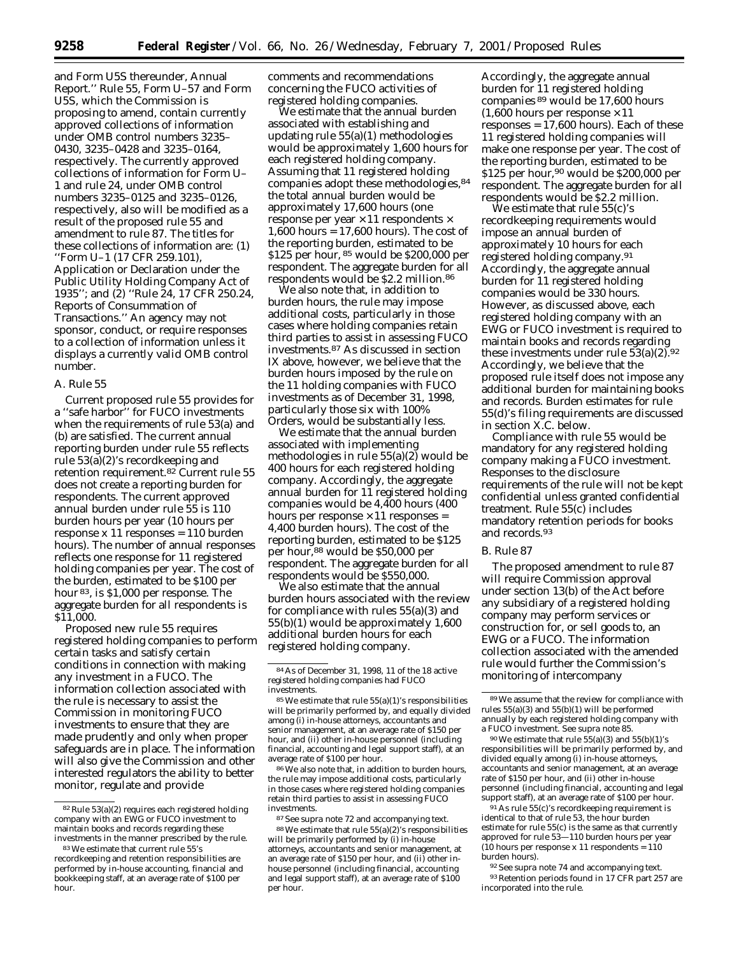and Form U5S thereunder, Annual Report.'' Rule 55, Form U–57 and Form U5S, which the Commission is proposing to amend, contain currently approved collections of information under OMB control numbers 3235– 0430, 3235–0428 and 3235–0164, respectively. The currently approved collections of information for Form U– 1 and rule 24, under OMB control numbers 3235–0125 and 3235–0126, respectively, also will be modified as a result of the proposed rule 55 and amendment to rule 87. The titles for these collections of information are: (1) ''Form U–1 (17 CFR 259.101), Application or Declaration under the Public Utility Holding Company Act of 1935''; and (2) ''Rule 24, 17 CFR 250.24, Reports of Consummation of Transactions.'' An agency may not sponsor, conduct, or require responses to a collection of information unless it displays a currently valid OMB control number.

#### *A. Rule 55*

Current proposed rule 55 provides for a ''safe harbor'' for FUCO investments when the requirements of rule 53(a) and (b) are satisfied. The current annual reporting burden under rule 55 reflects rule 53(a)(2)'s recordkeeping and retention requirement.82 Current rule 55 does not create a reporting burden for respondents. The current approved annual burden under rule 55 is 110 burden hours per year (10 hours per response x 11 responses = 110 burden hours). The number of annual responses reflects one response for 11 registered holding companies per year. The cost of the burden, estimated to be \$100 per hour 83, is \$1,000 per response. The aggregate burden for all respondents is \$11,000.

Proposed new rule 55 requires registered holding companies to perform certain tasks and satisfy certain conditions in connection with making any investment in a FUCO. The information collection associated with the rule is necessary to assist the Commission in monitoring FUCO investments to ensure that they are made prudently and only when proper safeguards are in place. The information will also give the Commission and other interested regulators the ability to better monitor, regulate and provide

comments and recommendations concerning the FUCO activities of registered holding companies.

We estimate that the annual burden associated with establishing and updating rule 55(a)(1) methodologies would be approximately 1,600 hours for each registered holding company. Assuming that 11 registered holding companies adopt these methodologies, 84 the total annual burden would be approximately 17,600 hours (one response per year  $\times$  11 respondents  $\times$ 1,600 hours = 17,600 hours). The cost of the reporting burden, estimated to be \$125 per hour, 85 would be \$200,000 per respondent. The aggregate burden for all respondents would be \$2.2 million.86

We also note that, in addition to burden hours, the rule may impose additional costs, particularly in those cases where holding companies retain third parties to assist in assessing FUCO investments.87 As discussed in section IX above, however, we believe that the burden hours imposed by the rule on the 11 holding companies with FUCO investments as of December 31, 1998, particularly those six with 100% Orders, would be substantially less.

We estimate that the annual burden associated with implementing methodologies in rule 55(a)(2) would be 400 hours for each registered holding company. Accordingly, the aggregate annual burden for 11 registered holding companies would be 4,400 hours (400 hours per response  $\times$  11 responses = 4,400 burden hours). The cost of the reporting burden, estimated to be \$125 per hour,88 would be \$50,000 per respondent. The aggregate burden for all respondents would be \$550,000.

We also estimate that the annual burden hours associated with the review for compliance with rules 55(a)(3) and 55(b)(1) would be approximately 1,600 additional burden hours for each registered holding company.

86We also note that, in addition to burden hours, the rule may impose additional costs, particularly in those cases where registered holding companies retain third parties to assist in assessing FUCO investments.

Accordingly, the aggregate annual burden for 11 registered holding companies 89 would be 17,600 hours  $(1,600$  hours per response  $\times$  11 responses = 17,600 hours). Each of these 11 registered holding companies will make one response per year. The cost of the reporting burden, estimated to be \$125 per hour,90 would be \$200,000 per respondent. The aggregate burden for all respondents would be \$2.2 million.

We estimate that rule 55(c)'s recordkeeping requirements would impose an annual burden of approximately 10 hours for each registered holding company.91 Accordingly, the aggregate annual burden for 11 registered holding companies would be 330 hours. However, as discussed above, each registered holding company with an EWG or FUCO investment is required to maintain books and records regarding these investments under rule  $53(a)(2)$ .<sup>92</sup> Accordingly, we believe that the proposed rule itself does not impose any additional burden for maintaining books and records. Burden estimates for rule 55(d)'s filing requirements are discussed in section X.C. below.

Compliance with rule 55 would be mandatory for any registered holding company making a FUCO investment. Responses to the disclosure requirements of the rule will not be kept confidential unless granted confidential treatment. Rule 55(c) includes mandatory retention periods for books and records.93

#### *B. Rule 87*

The proposed amendment to rule 87 will require Commission approval under section 13(b) of the Act before any subsidiary of a registered holding company may perform services or construction for, or sell goods to, an EWG or a FUCO. The information collection associated with the amended rule would further the Commission's monitoring of intercompany

 $90$  We estimate that rule  $55(a)(3)$  and  $55(b)(1)'s$ responsibilities will be primarily performed by, and divided equally among (i) in-house attorneys, accountants and senior management, at an average rate of \$150 per hour, and (ii) other in-house personnel (including financial, accounting and legal support staff), at an average rate of \$100 per hour.

91As rule 55(c)'s recordkeeping requirement is identical to that of rule 53, the hour burden estimate for rule 55(c) is the same as that currently approved for rule 53—110 burden hours per year (10 hours per response x 11 respondents = 110 burden hours).

92*See supra* note 74 and accompanying text. 93Retention periods found in 17 CFR part 257 are incorporated into the rule.

<sup>82</sup>Rule 53(a)(2) requires each registered holding company with an EWG or FUCO investment to maintain books and records regarding these investments in the manner prescribed by the rule.

<sup>83</sup>We estimate that current rule 55's recordkeeping and retention responsibilities are performed by in-house accounting, financial and bookkeeping staff, at an average rate of \$100 per hour.

<sup>84</sup>As of December 31, 1998, 11 of the 18 active registered holding companies had FUCO investments.

<sup>85</sup>We estimate that rule 55(a)(1)'s responsibilities will be primarily performed by, and equally divided among (i) in-house attorneys, accountants and senior management, at an average rate of \$150 per hour, and (ii) other in-house personnel (including financial, accounting and legal support staff), at an average rate of \$100 per hour.

<sup>87</sup>*See supra* note 72 and accompanying text. 88We estimate that rule 55(a)(2)'s responsibilities will be primarily performed by (i) in-house attorneys, accountants and senior management, at an average rate of \$150 per hour, and (ii) other inhouse personnel (including financial, accounting and legal support staff), at an average rate of \$100 per hour.

<sup>89</sup>We assume that the review for compliance with rules 55(a)(3) and 55(b)(1) will be performed annually by each registered holding company with a FUCO investment. *See supra* note 85.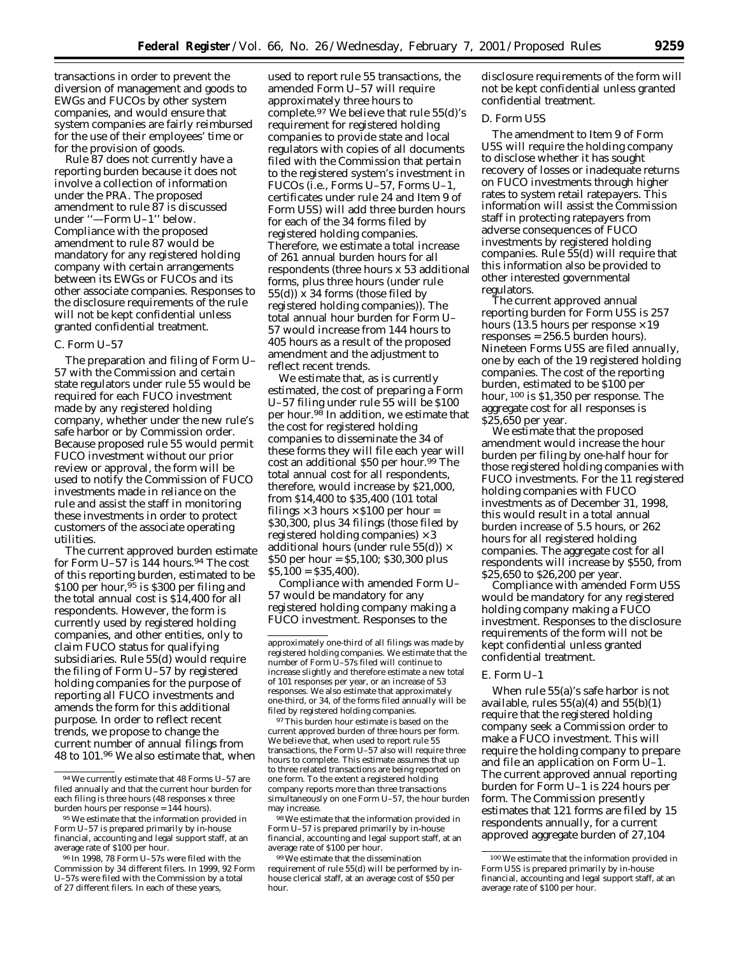transactions in order to prevent the diversion of management and goods to EWGs and FUCOs by other system companies, and would ensure that system companies are fairly reimbursed for the use of their employees' time or for the provision of goods.

Rule 87 does not currently have a reporting burden because it does not involve a collection of information under the PRA. The proposed amendment to rule 87 is discussed under ''—Form U–1'' below. Compliance with the proposed amendment to rule 87 would be mandatory for any registered holding company with certain arrangements between its EWGs or FUCOs and its other associate companies. Responses to the disclosure requirements of the rule will not be kept confidential unless granted confidential treatment.

# *C. Form U–57*

The preparation and filing of Form U– 57 with the Commission and certain state regulators under rule 55 would be required for each FUCO investment made by any registered holding company, whether under the new rule's safe harbor or by Commission order. Because proposed rule 55 would permit FUCO investment without our prior review or approval, the form will be used to notify the Commission of FUCO investments made in reliance on the rule and assist the staff in monitoring these investments in order to protect customers of the associate operating utilities.

The current approved burden estimate for Form U-57 is 144 hours.<sup>94</sup> The cost of this reporting burden, estimated to be \$100 per hour,  $95$  is \$300 per filing and the total annual cost is \$14,400 for all respondents. However, the form is currently used by registered holding companies, and other entities, only to claim FUCO status for qualifying subsidiaries. Rule 55(d) would require the filing of Form U–57 by registered holding companies for the purpose of reporting all FUCO investments and amends the form for this additional purpose. In order to reflect recent trends, we propose to change the current number of annual filings from 48 to 101.96 We also estimate that, when

used to report rule 55 transactions, the amended Form U–57 will require approximately three hours to complete.<sup>97</sup> We believe that rule 55(d)'s requirement for registered holding companies to provide state and local regulators with copies of all documents filed with the Commission that pertain to the registered system's investment in FUCOs (*i.e.*, Forms U–57, Forms U–1, certificates under rule 24 and Item 9 of Form U5S) will add three burden hours for each of the 34 forms filed by registered holding companies. Therefore, we estimate a total increase of 261 annual burden hours for all respondents (three hours x 53 additional forms, plus three hours (under rule 55(d)) x 34 forms (those filed by registered holding companies)). The total annual hour burden for Form U– 57 would increase from 144 hours to 405 hours as a result of the proposed amendment and the adjustment to reflect recent trends.

We estimate that, as is currently estimated, the cost of preparing a Form U–57 filing under rule 55 will be \$100 per hour.98 In addition, we estimate that the cost for registered holding companies to disseminate the 34 of these forms they will file each year will cost an additional \$50 per hour.<sup>99</sup> The total annual cost for all respondents, therefore, would increase by \$21,000, from \$14,400 to \$35,400 (101 total filings  $\times$  3 hours  $\times$  \$100 per hour = \$30,300, plus 34 filings (those filed by registered holding companies)  $\times$  3 additional hours (under rule  $55(d) \times$ \$50 per hour = \$5,100; \$30,300 plus  $$5,100 = $35,400$ .

Compliance with amended Form U– 57 would be mandatory for any registered holding company making a FUCO investment. Responses to the

97This burden hour estimate is based on the current approved burden of three hours per form. We believe that, when used to report rule 55 transactions, the Form U–57 also will require three hours to complete. This estimate assumes that up to three related transactions are being reported on one form. To the extent a registered holding company reports more than three transactions simultaneously on one Form U–57, the hour burden may increase.

98We estimate that the information provided in Form U–57 is prepared primarily by in-house financial, accounting and legal support staff, at an average rate of \$100 per hour.

99We estimate that the dissemination requirement of rule 55(d) will be performed by inhouse clerical staff, at an average cost of \$50 per hour.

disclosure requirements of the form will not be kept confidential unless granted confidential treatment.

# *D. Form U5S*

The amendment to Item 9 of Form U5S will require the holding company to disclose whether it has sought recovery of losses or inadequate returns on FUCO investments through higher rates to system retail ratepayers. This information will assist the Commission staff in protecting ratepayers from adverse consequences of FUCO investments by registered holding companies. Rule 55(d) will require that this information also be provided to other interested governmental regulators.

The current approved annual reporting burden for Form U5S is 257 hours (13.5 hours per response  $\times$  19 responses = 256.5 burden hours). Nineteen Forms U5S are filed annually, one by each of the 19 registered holding companies. The cost of the reporting burden, estimated to be \$100 per hour, 100 is \$1,350 per response. The aggregate cost for all responses is \$25,650 per year.

We estimate that the proposed amendment would increase the hour burden per filing by one-half hour for those registered holding companies with FUCO investments. For the 11 registered holding companies with FUCO investments as of December 31, 1998, this would result in a total annual burden increase of 5.5 hours, or 262 hours for all registered holding companies. The aggregate cost for all respondents will increase by \$550, from \$25,650 to \$26,200 per year.

Compliance with amended Form U5S would be mandatory for any registered holding company making a FUCO investment. Responses to the disclosure requirements of the form will not be kept confidential unless granted confidential treatment.

# *E. Form U–1*

When rule 55(a)'s safe harbor is not available, rules  $55(a)(4)$  and  $55(b)(1)$ require that the registered holding company seek a Commission order to make a FUCO investment. This will require the holding company to prepare and file an application on Form U–1. The current approved annual reporting burden for Form U–1 is 224 hours per form. The Commission presently estimates that 121 forms are filed by 15 respondents annually, for a current approved aggregate burden of 27,104

<sup>94</sup>We currently estimate that 48 Forms U–57 are filed annually and that the current hour burden for each filing is three hours (48 responses x three burden hours per response  $= 144$  hours).

<sup>95</sup>We estimate that the information provided in Form U–57 is prepared primarily by in-house financial, accounting and legal support staff, at an average rate of \$100 per hour.

<sup>96</sup> In 1998, 78 Form U–57s were filed with the Commission by 34 different filers. In 1999, 92 Form U–57s were filed with the Commission by a total of 27 different filers. In each of these years,

approximately one-third of all filings was made by registered holding companies. We estimate that the number of Form U–57s filed will continue to increase slightly and therefore estimate a new total of 101 responses per year, or an increase of 53 responses. We also estimate that approximately one-third, or 34, of the forms filed annually will be filed by registered holding companies.

<sup>100</sup>We estimate that the information provided in Form U5S is prepared primarily by in-house financial, accounting and legal support staff, at an average rate of \$100 per hour.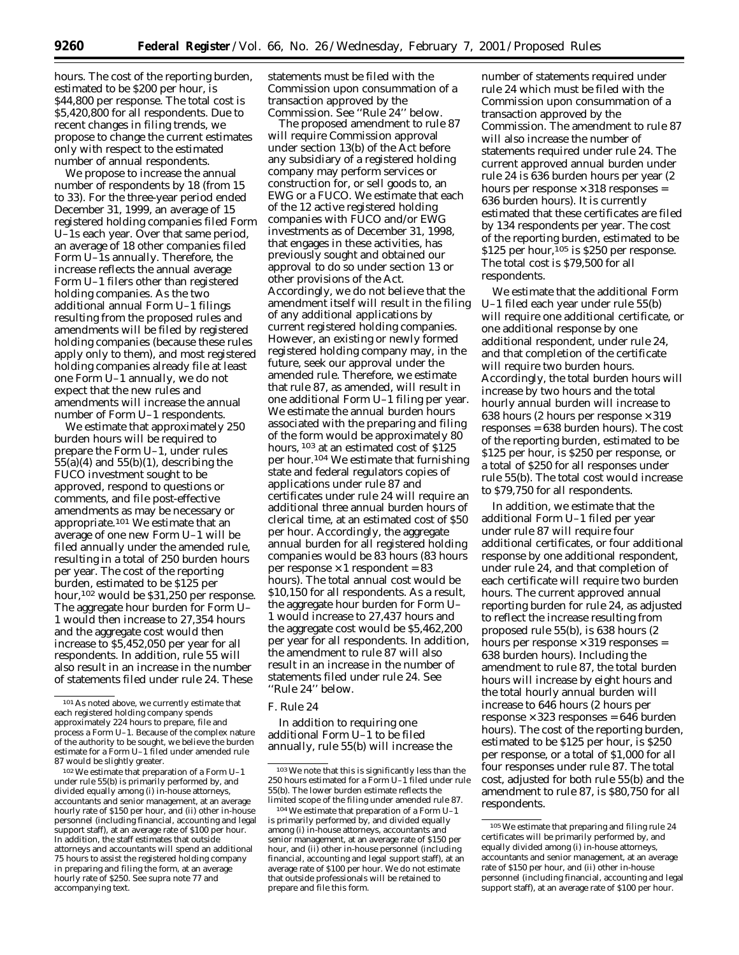hours. The cost of the reporting burden, estimated to be \$200 per hour, is \$44,800 per response. The total cost is \$5,420,800 for all respondents. Due to recent changes in filing trends, we propose to change the current estimates only with respect to the estimated number of annual respondents.

We propose to increase the annual number of respondents by 18 (from 15 to 33). For the three-year period ended December 31, 1999, an average of 15 registered holding companies filed Form U–1s each year. Over that same period, an average of 18 other companies filed Form U–1s annually. Therefore, the increase reflects the annual average Form U–1 filers other than registered holding companies. As the two additional annual Form U–1 filings resulting from the proposed rules and amendments will be filed by registered holding companies (because these rules apply only to them), and most registered holding companies already file at least one Form U–1 annually, we do not expect that the new rules and amendments will increase the annual number of Form U–1 respondents.

We estimate that approximately 250 burden hours will be required to prepare the Form U–1, under rules  $55(a)(4)$  and  $55(b)(1)$ , describing the FUCO investment sought to be approved, respond to questions or comments, and file post-effective amendments as may be necessary or appropriate.101 We estimate that an average of one new Form U–1 will be filed annually under the amended rule, resulting in a total of 250 burden hours per year. The cost of the reporting burden, estimated to be \$125 per hour,102 would be \$31,250 per response. The aggregate hour burden for Form U– 1 would then increase to 27,354 hours and the aggregate cost would then increase to \$5,452,050 per year for all respondents. In addition, rule 55 will also result in an increase in the number of statements filed under rule 24. These

102We estimate that preparation of a Form U–1 under rule 55(b) is primarily performed by, and divided equally among (i) in-house attorneys, accountants and senior management, at an average hourly rate of \$150 per hour, and (ii) other in-house personnel (including financial, accounting and legal support staff), at an average rate of \$100 per hour. In addition, the staff estimates that outside attorneys and accountants will spend an additional 75 hours to assist the registered holding company in preparing and filing the form, at an average hourly rate of \$250. *See supra* note 77 and accompanying text.

statements must be filed with the Commission upon consummation of a transaction approved by the Commission. See ''Rule 24'' below.

The proposed amendment to rule 87 will require Commission approval under section 13(b) of the Act before any subsidiary of a registered holding company may perform services or construction for, or sell goods to, an EWG or a FUCO. We estimate that each of the 12 active registered holding companies with FUCO and/or EWG investments as of December 31, 1998, that engages in these activities, has previously sought and obtained our approval to do so under section 13 or other provisions of the Act. Accordingly, we do not believe that the amendment itself will result in the filing of any additional applications by current registered holding companies. However, an existing or newly formed registered holding company may, in the future, seek our approval under the amended rule. Therefore, we estimate that rule 87, as amended, will result in one additional Form U–1 filing per year. We estimate the annual burden hours associated with the preparing and filing of the form would be approximately 80 hours, <sup>103</sup> at an estimated cost of \$125 per hour.104 We estimate that furnishing state and federal regulators copies of applications under rule 87 and certificates under rule 24 will require an additional three annual burden hours of clerical time, at an estimated cost of \$50 per hour. Accordingly, the aggregate annual burden for all registered holding companies would be 83 hours (83 hours per response  $\times$  1 respondent = 83 hours). The total annual cost would be \$10,150 for all respondents. As a result, the aggregate hour burden for Form U– 1 would increase to 27,437 hours and the aggregate cost would be \$5,462,200 per year for all respondents. In addition, the amendment to rule 87 will also result in an increase in the number of statements filed under rule 24. See ''Rule 24'' below.

#### *F. Rule 24*

In addition to requiring one additional Form U–1 to be filed annually, rule 55(b) will increase the

number of statements required under rule 24 which must be filed with the Commission upon consummation of a transaction approved by the Commission. The amendment to rule 87 will also increase the number of statements required under rule 24. The current approved annual burden under rule 24 is 636 burden hours per year (2 hours per response  $\times$  318 responses = 636 burden hours). It is currently estimated that these certificates are filed by 134 respondents per year. The cost of the reporting burden, estimated to be \$125 per hour,<sup>105</sup> is \$250 per response. The total cost is \$79,500 for all respondents.

We estimate that the additional Form U–1 filed each year under rule 55(b) will require one additional certificate, or one additional response by one additional respondent, under rule 24, and that completion of the certificate will require two burden hours. Accordingly, the total burden hours will increase by two hours and the total hourly annual burden will increase to 638 hours (2 hours per response  $\times$  319 responses = 638 burden hours). The cost of the reporting burden, estimated to be \$125 per hour, is \$250 per response, or a total of \$250 for all responses under rule 55(b). The total cost would increase to \$79,750 for all respondents.

In addition, we estimate that the additional Form U–1 filed per year under rule 87 will require four additional certificates, or four additional response by one additional respondent, under rule 24, and that completion of each certificate will require two burden hours. The current approved annual reporting burden for rule 24, as adjusted to reflect the increase resulting from proposed rule 55(b), is 638 hours (2 hours per response  $\times$  319 responses = 638 burden hours). Including the amendment to rule 87, the total burden hours will increase by eight hours and the total hourly annual burden will increase to 646 hours (2 hours per  $response \times 323$  responses = 646 burden hours). The cost of the reporting burden, estimated to be \$125 per hour, is \$250 per response, or a total of \$1,000 for all four responses under rule 87. The total cost, adjusted for both rule 55(b) and the amendment to rule 87, is \$80,750 for all respondents.

<sup>101</sup>As noted above, we currently estimate that each registered holding company spends approximately 224 hours to prepare, file and process a Form U–1. Because of the complex nature of the authority to be sought, we believe the burden estimate for a Form U–1 filed under amended rule 87 would be slightly greater.

<sup>103</sup>We note that this is significantly less than the 250 hours estimated for a Form U–1 filed under rule 55(b). The lower burden estimate reflects the limited scope of the filing under amended rule 87.

<sup>104</sup>We estimate that preparation of a Form U–1 is primarily performed by, and divided equally among (i) in-house attorneys, accountants and senior management, at an average rate of \$150 per hour, and (ii) other in-house personnel (including financial, accounting and legal support staff), at an average rate of \$100 per hour. We do not estimate that outside professionals will be retained to prepare and file this form.

<sup>105</sup>We estimate that preparing and filing rule 24 certificates will be primarily performed by, and equally divided among (i) in-house attorneys, accountants and senior management, at an average rate of \$150 per hour, and (ii) other in-house personnel (including financial, accounting and legal support staff), at an average rate of \$100 per hour.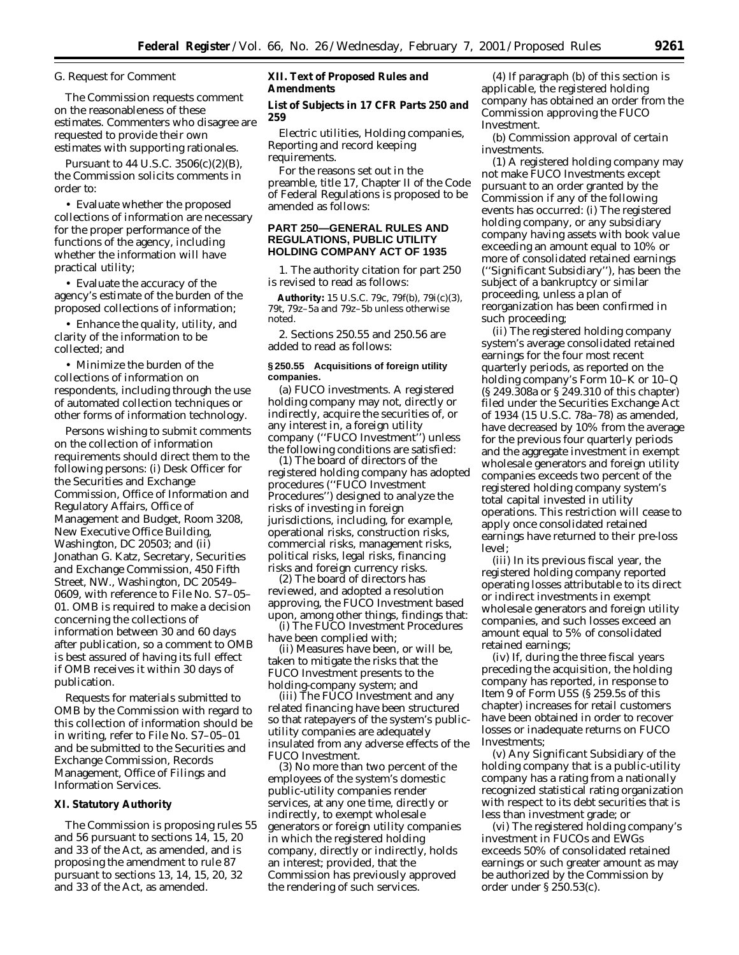#### *G. Request for Comment*

The Commission requests comment on the reasonableness of these estimates. Commenters who disagree are requested to provide their own estimates with supporting rationales.

Pursuant to 44 U.S.C. 3506(c)(2)(B), the Commission solicits comments in order to:

• Evaluate whether the proposed collections of information are necessary for the proper performance of the functions of the agency, including whether the information will have practical utility;

• Evaluate the accuracy of the agency's estimate of the burden of the proposed collections of information;

• Enhance the quality, utility, and clarity of the information to be collected; and

• Minimize the burden of the collections of information on respondents, including through the use of automated collection techniques or other forms of information technology.

Persons wishing to submit comments on the collection of information requirements should direct them to the following persons: (i) Desk Officer for the Securities and Exchange Commission, Office of Information and Regulatory Affairs, Office of Management and Budget, Room 3208, New Executive Office Building, Washington, DC 20503; and (ii) Jonathan G. Katz, Secretary, Securities and Exchange Commission, 450 Fifth Street, NW., Washington, DC 20549– 0609, with reference to File No. S7–05– 01. OMB is required to make a decision concerning the collections of information between 30 and 60 days after publication, so a comment to OMB is best assured of having its full effect if OMB receives it within 30 days of publication.

Requests for materials submitted to OMB by the Commission with regard to this collection of information should be in writing, refer to File No. S7–05–01 and be submitted to the Securities and Exchange Commission, Records Management, Office of Filings and Information Services.

# **XI. Statutory Authority**

The Commission is proposing rules 55 and 56 pursuant to sections 14, 15, 20 and 33 of the Act, as amended, and is proposing the amendment to rule 87 pursuant to sections 13, 14, 15, 20, 32 and 33 of the Act, as amended.

# **XII. Text of Proposed Rules and Amendments**

#### **List of Subjects in 17 CFR Parts 250 and 259**

Electric utilities, Holding companies, Reporting and record keeping requirements.

For the reasons set out in the preamble, title 17, Chapter II of the Code of Federal Regulations is proposed to be amended as follows:

# **PART 250—GENERAL RULES AND REGULATIONS, PUBLIC UTILITY HOLDING COMPANY ACT OF 1935**

1. The authority citation for part 250 is revised to read as follows:

**Authority:** 15 U.S.C. 79c, 79f(b), 79i(c)(3), 79t, 79z–5a and 79z–5b unless otherwise noted.

2. Sections 250.55 and 250.56 are added to read as follows:

#### **§ 250.55 Acquisitions of foreign utility companies.**

(a) *FUCO investments.* A registered holding company may not, directly or indirectly, acquire the securities of, or any interest in, a foreign utility company (''FUCO Investment'') unless the following conditions are satisfied:

(1) The board of directors of the registered holding company has adopted procedures (''FUCO Investment Procedures'') designed to analyze the risks of investing in foreign jurisdictions, including, for example, operational risks, construction risks, commercial risks, management risks, political risks, legal risks, financing risks and foreign currency risks.

(2) The board of directors has reviewed, and adopted a resolution approving, the FUCO Investment based upon, among other things, findings that:

(i) The FUCO Investment Procedures have been complied with;

(ii) Measures have been, or will be, taken to mitigate the risks that the FUCO Investment presents to the holding-company system; and

(iii) The FUCO Investment and any related financing have been structured so that ratepayers of the system's publicutility companies are adequately insulated from any adverse effects of the FUCO Investment.

(3) No more than two percent of the employees of the system's domestic public-utility companies render services, at any one time, directly or indirectly, to exempt wholesale generators or foreign utility companies in which the registered holding company, directly or indirectly, holds an interest; provided, that the Commission has previously approved the rendering of such services.

(4) If paragraph (b) of this section is applicable, the registered holding company has obtained an order from the Commission approving the FUCO Investment.

(b) *Commission approval of certain investments*.

(1) A registered holding company may not make FUCO Investments except pursuant to an order granted by the Commission if any of the following events has occurred: (i) The registered holding company, or any subsidiary company having assets with book value exceeding an amount equal to 10% or more of consolidated retained earnings (''Significant Subsidiary''), has been the subject of a bankruptcy or similar proceeding, unless a plan of reorganization has been confirmed in such proceeding;

(ii) The registered holding company system's average consolidated retained earnings for the four most recent quarterly periods, as reported on the holding company's Form 10–K or 10–Q (§ 249.308a or § 249.310 of this chapter) filed under the Securities Exchange Act of 1934 (15 U.S.C. 78a–78) as amended, have decreased by 10% from the average for the previous four quarterly periods and the aggregate investment in exempt wholesale generators and foreign utility companies exceeds two percent of the registered holding company system's total capital invested in utility operations. This restriction will cease to apply once consolidated retained earnings have returned to their pre-loss level;

(iii) In its previous fiscal year, the registered holding company reported operating losses attributable to its direct or indirect investments in exempt wholesale generators and foreign utility companies, and such losses exceed an amount equal to 5% of consolidated retained earnings;

(iv) If, during the three fiscal years preceding the acquisition, the holding company has reported, in response to Item 9 of Form U5S (§ 259.5s of this chapter) increases for retail customers have been obtained in order to recover losses or inadequate returns on FUCO Investments;

(v) Any Significant Subsidiary of the holding company that is a public-utility company has a rating from a nationally recognized statistical rating organization with respect to its debt securities that is less than investment grade; or

(vi) The registered holding company's investment in FUCOs and EWGs exceeds 50% of consolidated retained earnings or such greater amount as may be authorized by the Commission by order under § 250.53(c).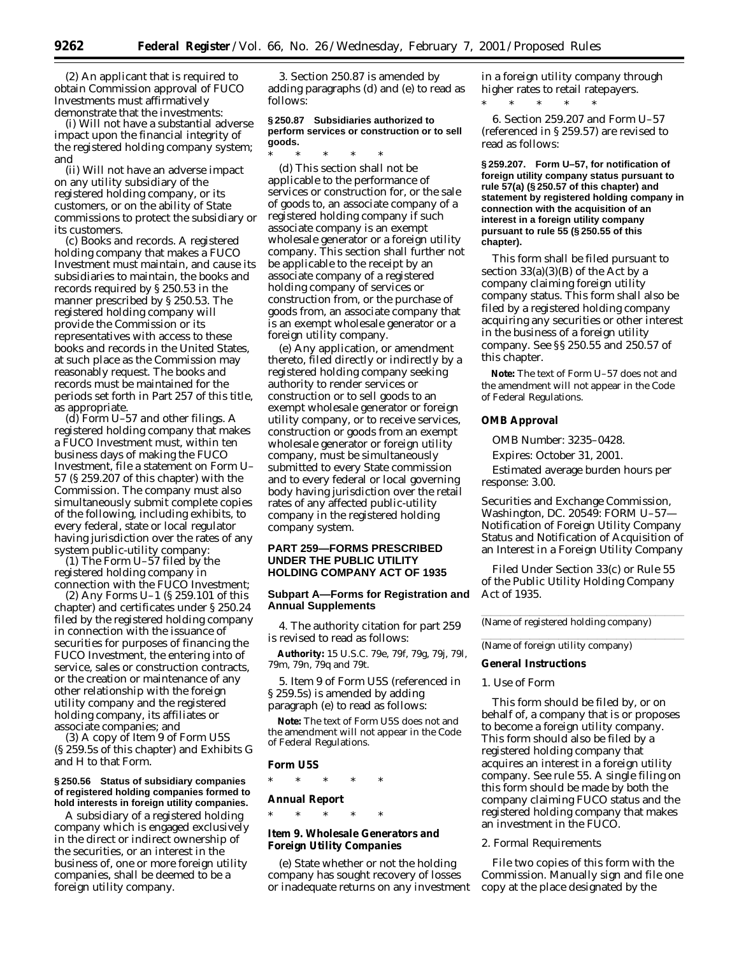(2) An applicant that is required to obtain Commission approval of FUCO Investments must affirmatively demonstrate that the investments:

(i) Will not have a substantial adverse impact upon the financial integrity of the registered holding company system; and

(ii) Will not have an adverse impact on any utility subsidiary of the registered holding company, or its customers, or on the ability of State commissions to protect the subsidiary or its customers.

(c) *Books and records.* A registered holding company that makes a FUCO Investment must maintain, and cause its subsidiaries to maintain, the books and records required by § 250.53 in the manner prescribed by § 250.53. The registered holding company will provide the Commission or its representatives with access to these books and records in the United States, at such place as the Commission may reasonably request. The books and records must be maintained for the periods set forth in Part 257 of this title, as appropriate.

(d) *Form U–57 and other filings.* A registered holding company that makes a FUCO Investment must, within ten business days of making the FUCO Investment, file a statement on Form U– 57 (§ 259.207 of this chapter) with the Commission. The company must also simultaneously submit complete copies of the following, including exhibits, to every federal, state or local regulator having jurisdiction over the rates of any system public-utility company:

(1) The Form U–57 filed by the registered holding company in connection with the FUCO Investment;

(2) Any Forms U–1 (§ 259.101 of this chapter) and certificates under § 250.24 filed by the registered holding company in connection with the issuance of securities for purposes of financing the FUCO Investment, the entering into of service, sales or construction contracts, or the creation or maintenance of any other relationship with the foreign utility company and the registered holding company, its affiliates or associate companies; and

(3) A copy of Item 9 of Form U5S (§ 259.5s of this chapter) and Exhibits G and H to that Form.

#### **§ 250.56 Status of subsidiary companies of registered holding companies formed to hold interests in foreign utility companies.**

A subsidiary of a registered holding company which is engaged exclusively in the direct or indirect ownership of the securities, or an interest in the business of, one or more foreign utility companies, shall be deemed to be a foreign utility company.

3. Section 250.87 is amended by adding paragraphs (d) and (e) to read as follows:

## **§ 250.87 Subsidiaries authorized to perform services or construction or to sell goods.**

\* \* \* \* \* (d) This section shall not be applicable to the performance of services or construction for, or the sale of goods to, an associate company of a registered holding company if such associate company is an exempt wholesale generator or a foreign utility company. This section shall further not be applicable to the receipt by an associate company of a registered holding company of services or construction from, or the purchase of goods from, an associate company that is an exempt wholesale generator or a foreign utility company.

(e) Any application, or amendment thereto, filed directly or indirectly by a registered holding company seeking authority to render services or construction or to sell goods to an exempt wholesale generator or foreign utility company, or to receive services, construction or goods from an exempt wholesale generator or foreign utility company, must be simultaneously submitted to every State commission and to every federal or local governing body having jurisdiction over the retail rates of any affected public-utility company in the registered holding company system.

# **PART 259—FORMS PRESCRIBED UNDER THE PUBLIC UTILITY HOLDING COMPANY ACT OF 1935**

# **Subpart A—Forms for Registration and Annual Supplements**

4. The authority citation for part 259 is revised to read as follows:

**Authority:** 15 U.S.C. 79e, 79f, 79g, 79j, 79l, 79m, 79n, 79q and 79t.

5. Item 9 of Form U5S (referenced in § 259.5s) is amended by adding paragraph (e) to read as follows:

**Note:** The text of Form U5S does not and the amendment will not appear in the Code of Federal Regulations.

#### **Form U5S**

\* \* \* \* \*

# **Annual Report**

\* \* \* \* \*

# **Item 9. Wholesale Generators and Foreign Utility Companies**

(e) State whether or not the holding company has sought recovery of losses or inadequate returns on any investment

in a foreign utility company through higher rates to retail ratepayers.

\* \* \* \* \* 6. Section 259.207 and Form U–57 (referenced in § 259.57) are revised to

read as follows:

**§ 259.207. Form U–57, for notification of foreign utility company status pursuant to rule 57(a) (§ 250.57 of this chapter) and statement by registered holding company in connection with the acquisition of an interest in a foreign utility company pursuant to rule 55 (§ 250.55 of this chapter).**

This form shall be filed pursuant to section  $33(a)(3)(B)$  of the Act by a company claiming foreign utility company status. This form shall also be filed by a registered holding company acquiring any securities or other interest in the business of a foreign utility company. *See* §§ 250.55 and 250.57 of this chapter.

**Note:** The text of Form U–57 does not and the amendment will not appear in the Code of Federal Regulations.

#### **OMB Approval**

OMB Number: 3235–0428.

Expires: October 31, 2001.

Estimated average burden hours per response: 3.00.

Securities and Exchange Commission, Washington, DC. 20549: FORM U–57— Notification of Foreign Utility Company Status and Notification of Acquisition of an Interest in a Foreign Utility Company

Filed Under Section 33(c) or Rule 55 of the Public Utility Holding Company Act of 1935.

(Name of registered holding company)

(Name of foreign utility company)

#### **General Instructions**

#### *1. Use of Form*

This form should be filed by, or on behalf of, a company that is or proposes to become a foreign utility company. This form should also be filed by a registered holding company that acquires an interest in a foreign utility company. *See* rule 55. A single filing on this form should be made by both the company claiming FUCO status and the registered holding company that makes an investment in the FUCO.

#### *2. Formal Requirements*

File two copies of this form with the Commission. Manually sign and file one copy at the place designated by the